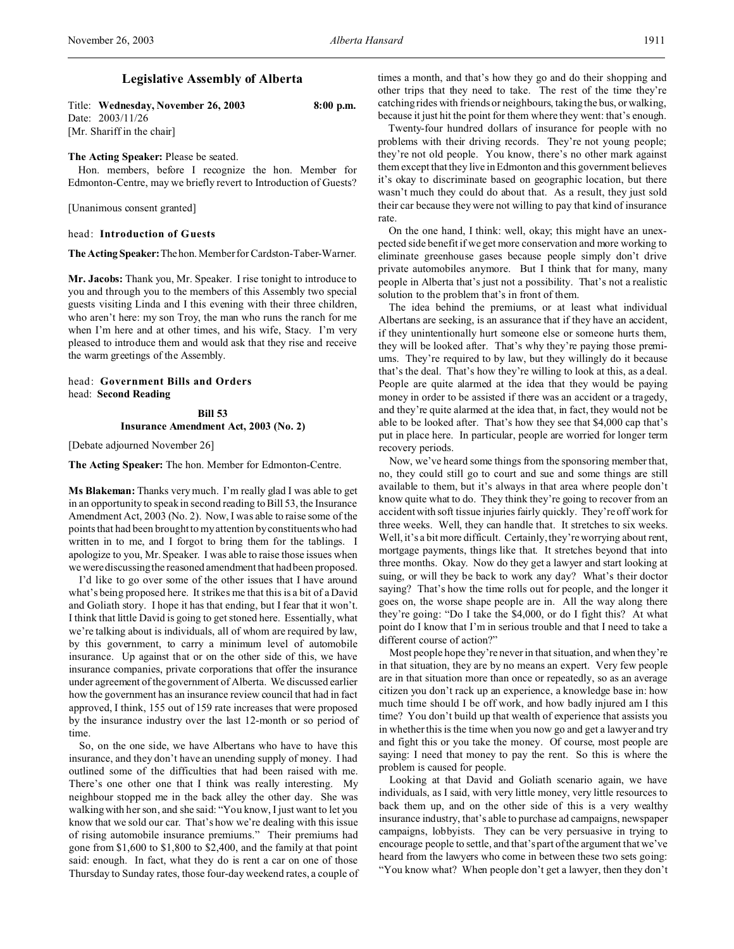# **Legislative Assembly of Alberta**

Title: **Wednesday, November 26, 2003 8:00 p.m.** Date: 2003/11/26 [Mr. Shariff in the chair]

#### **The Acting Speaker:** Please be seated.

Hon. members, before I recognize the hon. Member for Edmonton-Centre, may we briefly revert to Introduction of Guests?

[Unanimous consent granted]

#### head: **Introduction of Guests**

**The ActingSpeaker:**Thehon.Member for Cardston-Taber-Warner.

**Mr. Jacobs:** Thank you, Mr. Speaker. I rise tonight to introduce to you and through you to the members of this Assembly two special guests visiting Linda and I this evening with their three children, who aren't here: my son Troy, the man who runs the ranch for me when I'm here and at other times, and his wife, Stacy. I'm very pleased to introduce them and would ask that they rise and receive the warm greetings of the Assembly.

# head: **Government Bills and Orders** head: **Second Reading**

**Bill 53 Insurance Amendment Act, 2003 (No. 2)**

[Debate adjourned November 26]

**The Acting Speaker:** The hon. Member for Edmonton-Centre.

**Ms Blakeman:** Thanks very much. I'm really glad I was able to get in an opportunity to speak in second reading to Bill 53, the Insurance Amendment Act, 2003 (No. 2). Now, I was able to raise some of the points that had been brought to my attention by constituents who had written in to me, and I forgot to bring them for the tablings. I apologize to you, Mr. Speaker. I was able to raise those issues when we were discussing the reasoned amendment that had been proposed.

I'd like to go over some of the other issues that I have around what's being proposed here. It strikes me that this is a bit of a David and Goliath story. I hope it has that ending, but I fear that it won't. I think that little David is going to get stoned here. Essentially, what we're talking about is individuals, all of whom are required by law, by this government, to carry a minimum level of automobile insurance. Up against that or on the other side of this, we have insurance companies, private corporations that offer the insurance under agreement of the government of Alberta. We discussed earlier how the government has an insurance review council that had in fact approved, I think, 155 out of 159 rate increases that were proposed by the insurance industry over the last 12-month or so period of time.

So, on the one side, we have Albertans who have to have this insurance, and they don't have an unending supply of money. I had outlined some of the difficulties that had been raised with me. There's one other one that I think was really interesting. My neighbour stopped me in the back alley the other day. She was walking with her son, and she said: "You know, I just want to let you know that we sold our car. That's how we're dealing with this issue of rising automobile insurance premiums." Their premiums had gone from \$1,600 to \$1,800 to \$2,400, and the family at that point said: enough. In fact, what they do is rent a car on one of those Thursday to Sunday rates, those four-day weekend rates, a couple of times a month, and that's how they go and do their shopping and other trips that they need to take. The rest of the time they're catching rides with friends or neighbours, taking the bus, or walking, because it just hit the point for them where they went: that's enough.

Twenty-four hundred dollars of insurance for people with no problems with their driving records. They're not young people; they're not old people. You know, there's no other mark against them except that they live in Edmonton and this government believes it's okay to discriminate based on geographic location, but there wasn't much they could do about that. As a result, they just sold their car because they were not willing to pay that kind of insurance rate.

On the one hand, I think: well, okay; this might have an unexpected side benefit if we get more conservation and more working to eliminate greenhouse gases because people simply don't drive private automobiles anymore. But I think that for many, many people in Alberta that's just not a possibility. That's not a realistic solution to the problem that's in front of them.

The idea behind the premiums, or at least what individual Albertans are seeking, is an assurance that if they have an accident, if they unintentionally hurt someone else or someone hurts them, they will be looked after. That's why they're paying those premiums. They're required to by law, but they willingly do it because that's the deal. That's how they're willing to look at this, as a deal. People are quite alarmed at the idea that they would be paying money in order to be assisted if there was an accident or a tragedy, and they're quite alarmed at the idea that, in fact, they would not be able to be looked after. That's how they see that \$4,000 cap that's put in place here. In particular, people are worried for longer term recovery periods.

Now, we've heard some things from the sponsoring member that, no, they could still go to court and sue and some things are still available to them, but it's always in that area where people don't know quite what to do. They think they're going to recover from an accident with soft tissue injuries fairly quickly. They're off work for three weeks. Well, they can handle that. It stretches to six weeks. Well, it's a bit more difficult. Certainly, they're worrying about rent, mortgage payments, things like that. It stretches beyond that into three months. Okay. Now do they get a lawyer and start looking at suing, or will they be back to work any day? What's their doctor saying? That's how the time rolls out for people, and the longer it goes on, the worse shape people are in. All the way along there they're going: "Do I take the \$4,000, or do I fight this? At what point do I know that I'm in serious trouble and that I need to take a different course of action?"

Most people hope they're never in that situation, and when they're in that situation, they are by no means an expert. Very few people are in that situation more than once or repeatedly, so as an average citizen you don't rack up an experience, a knowledge base in: how much time should I be off work, and how badly injured am I this time? You don't build up that wealth of experience that assists you in whether this is the time when you now go and get a lawyer and try and fight this or you take the money. Of course, most people are saying: I need that money to pay the rent. So this is where the problem is caused for people.

Looking at that David and Goliath scenario again, we have individuals, as I said, with very little money, very little resources to back them up, and on the other side of this is a very wealthy insurance industry, that's able to purchase ad campaigns, newspaper campaigns, lobbyists. They can be very persuasive in trying to encourage people to settle, and that's part of the argument that we've heard from the lawyers who come in between these two sets going: "You know what? When people don't get a lawyer, then they don't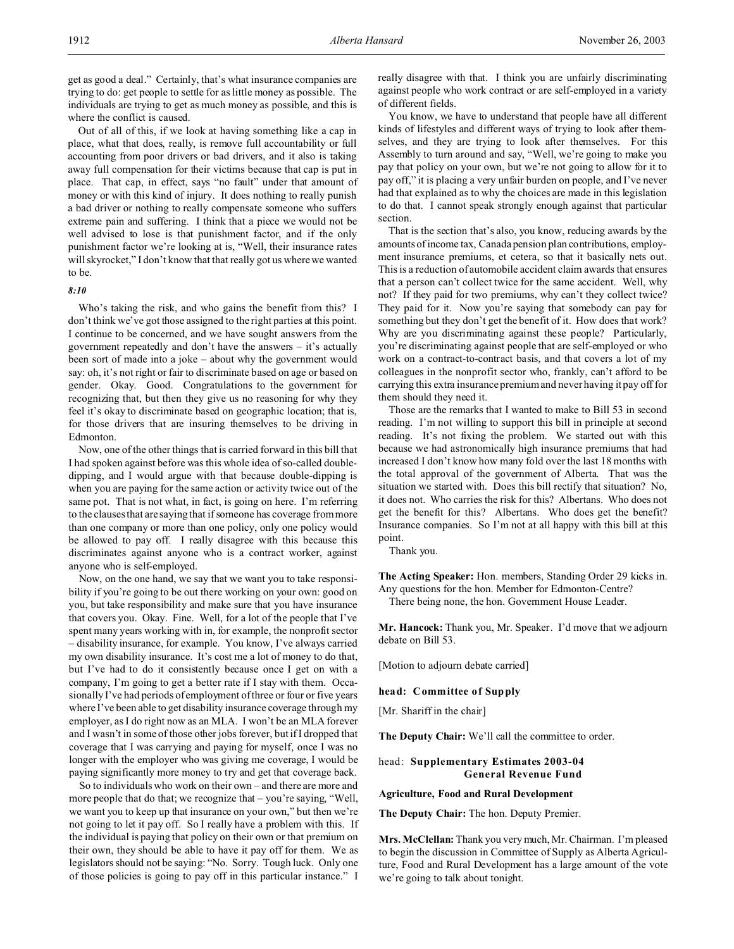get as good a deal." Certainly, that's what insurance companies are trying to do: get people to settle for as little money as possible. The individuals are trying to get as much money as possible, and this is where the conflict is caused.

Out of all of this, if we look at having something like a cap in place, what that does, really, is remove full accountability or full accounting from poor drivers or bad drivers, and it also is taking away full compensation for their victims because that cap is put in place. That cap, in effect, says "no fault" under that amount of money or with this kind of injury. It does nothing to really punish a bad driver or nothing to really compensate someone who suffers extreme pain and suffering. I think that a piece we would not be well advised to lose is that punishment factor, and if the only punishment factor we're looking at is, "Well, their insurance rates will skyrocket," I don't know that that really got us where we wanted to be.

### *8:10*

Who's taking the risk, and who gains the benefit from this? I don't think we've got those assigned to the right parties at this point. I continue to be concerned, and we have sought answers from the government repeatedly and don't have the answers – it's actually been sort of made into a joke – about why the government would say: oh, it's not right or fair to discriminate based on age or based on gender. Okay. Good. Congratulations to the government for recognizing that, but then they give us no reasoning for why they feel it's okay to discriminate based on geographic location; that is, for those drivers that are insuring themselves to be driving in Edmonton.

Now, one of the other things that is carried forward in this bill that I had spoken against before was this whole idea of so-called doubledipping, and I would argue with that because double-dipping is when you are paying for the same action or activity twice out of the same pot. That is not what, in fact, is going on here. I'm referring to the clauses that are saying that if someone has coverage from more than one company or more than one policy, only one policy would be allowed to pay off. I really disagree with this because this discriminates against anyone who is a contract worker, against anyone who is self-employed.

Now, on the one hand, we say that we want you to take responsibility if you're going to be out there working on your own: good on you, but take responsibility and make sure that you have insurance that covers you. Okay. Fine. Well, for a lot of the people that I've spent many years working with in, for example, the nonprofit sector – disability insurance, for example. You know, I've always carried my own disability insurance. It's cost me a lot of money to do that, but I've had to do it consistently because once I get on with a company, I'm going to get a better rate if I stay with them. Occasionally I've had periods of employment of three or four or five years where I've been able to get disability insurance coverage through my employer, as I do right now as an MLA. I won't be an MLA forever and I wasn't in some of those other jobs forever, but if I dropped that coverage that I was carrying and paying for myself, once I was no longer with the employer who was giving me coverage, I would be paying significantly more money to try and get that coverage back.

So to individuals who work on their own – and there are more and more people that do that; we recognize that – you're saying, "Well, we want you to keep up that insurance on your own," but then we're not going to let it pay off. So I really have a problem with this. If the individual is paying that policy on their own or that premium on their own, they should be able to have it pay off for them. We as legislators should not be saying: "No. Sorry. Tough luck. Only one of those policies is going to pay off in this particular instance." I really disagree with that. I think you are unfairly discriminating against people who work contract or are self-employed in a variety of different fields.

You know, we have to understand that people have all different kinds of lifestyles and different ways of trying to look after themselves, and they are trying to look after themselves. For this Assembly to turn around and say, "Well, we're going to make you pay that policy on your own, but we're not going to allow for it to pay off," it is placing a very unfair burden on people, and I've never had that explained as to why the choices are made in this legislation to do that. I cannot speak strongly enough against that particular section.

That is the section that's also, you know, reducing awards by the amounts of income tax, Canada pension plan contributions, employment insurance premiums, et cetera, so that it basically nets out. This is a reduction of automobile accident claim awards that ensures that a person can't collect twice for the same accident. Well, why not? If they paid for two premiums, why can't they collect twice? They paid for it. Now you're saying that somebody can pay for something but they don't get the benefit of it. How does that work? Why are you discriminating against these people? Particularly, you're discriminating against people that are self-employed or who work on a contract-to-contract basis, and that covers a lot of my colleagues in the nonprofit sector who, frankly, can't afford to be carrying this extra insurance premium and never having it pay off for them should they need it.

Those are the remarks that I wanted to make to Bill 53 in second reading. I'm not willing to support this bill in principle at second reading. It's not fixing the problem. We started out with this because we had astronomically high insurance premiums that had increased I don't know how many fold over the last 18 months with the total approval of the government of Alberta. That was the situation we started with. Does this bill rectify that situation? No, it does not. Who carries the risk for this? Albertans. Who does not get the benefit for this? Albertans. Who does get the benefit? Insurance companies. So I'm not at all happy with this bill at this point.

Thank you.

**The Acting Speaker:** Hon. members, Standing Order 29 kicks in. Any questions for the hon. Member for Edmonton-Centre?

There being none, the hon. Government House Leader.

**Mr. Hancock:** Thank you, Mr. Speaker. I'd move that we adjourn debate on Bill 53.

[Motion to adjourn debate carried]

**head: Committee of Supply**

[Mr. Shariff in the chair]

**The Deputy Chair:** We'll call the committee to order.

# head: **Supplementary Estimates 2003-04 General Revenue Fund**

**Agriculture, Food and Rural Development**

**The Deputy Chair:** The hon. Deputy Premier.

**Mrs. McClellan:** Thank you very much, Mr. Chairman. I'm pleased to begin the discussion in Committee of Supply as Alberta Agriculture, Food and Rural Development has a large amount of the vote we're going to talk about tonight.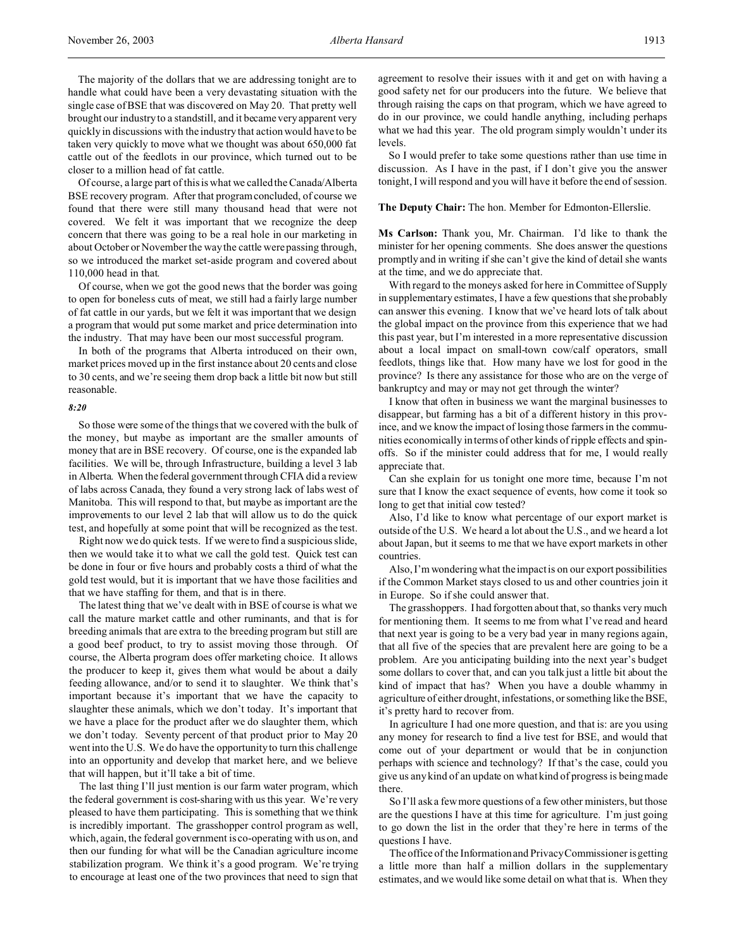The majority of the dollars that we are addressing tonight are to handle what could have been a very devastating situation with the single case of BSE that was discovered on May 20. That pretty well brought our industry to a standstill, and it became very apparent very quickly in discussions with the industry that action would have to be taken very quickly to move what we thought was about 650,000 fat cattle out of the feedlots in our province, which turned out to be closer to a million head of fat cattle.

Of course, a large part of this is what we called the Canada/Alberta BSE recovery program. After that program concluded, of course we found that there were still many thousand head that were not covered. We felt it was important that we recognize the deep concern that there was going to be a real hole in our marketing in about October or November the way the cattle were passing through, so we introduced the market set-aside program and covered about 110,000 head in that.

Of course, when we got the good news that the border was going to open for boneless cuts of meat, we still had a fairly large number of fat cattle in our yards, but we felt it was important that we design a program that would put some market and price determination into the industry. That may have been our most successful program.

In both of the programs that Alberta introduced on their own, market prices moved up in the first instance about 20 cents and close to 30 cents, and we're seeing them drop back a little bit now but still reasonable.

#### *8:20*

So those were some of the things that we covered with the bulk of the money, but maybe as important are the smaller amounts of money that are in BSE recovery. Of course, one is the expanded lab facilities. We will be, through Infrastructure, building a level 3 lab in Alberta. When the federal government through CFIA did a review of labs across Canada, they found a very strong lack of labs west of Manitoba. This will respond to that, but maybe as important are the improvements to our level 2 lab that will allow us to do the quick test, and hopefully at some point that will be recognized as the test.

Right now we do quick tests. If we were to find a suspicious slide, then we would take it to what we call the gold test. Quick test can be done in four or five hours and probably costs a third of what the gold test would, but it is important that we have those facilities and that we have staffing for them, and that is in there.

The latest thing that we've dealt with in BSE of course is what we call the mature market cattle and other ruminants, and that is for breeding animals that are extra to the breeding program but still are a good beef product, to try to assist moving those through. Of course, the Alberta program does offer marketing choice. It allows the producer to keep it, gives them what would be about a daily feeding allowance, and/or to send it to slaughter. We think that's important because it's important that we have the capacity to slaughter these animals, which we don't today. It's important that we have a place for the product after we do slaughter them, which we don't today. Seventy percent of that product prior to May 20 went into the U.S. We do have the opportunity to turn this challenge into an opportunity and develop that market here, and we believe that will happen, but it'll take a bit of time.

The last thing I'll just mention is our farm water program, which the federal government is cost-sharing with us this year. We're very pleased to have them participating. This is something that we think is incredibly important. The grasshopper control program as well, which, again, the federal government is co-operating with us on, and then our funding for what will be the Canadian agriculture income stabilization program. We think it's a good program. We're trying to encourage at least one of the two provinces that need to sign that

agreement to resolve their issues with it and get on with having a good safety net for our producers into the future. We believe that through raising the caps on that program, which we have agreed to do in our province, we could handle anything, including perhaps what we had this year. The old program simply wouldn't under its levels.

So I would prefer to take some questions rather than use time in discussion. As I have in the past, if I don't give you the answer tonight, I will respond and you will have it before the end of session.

**The Deputy Chair:** The hon. Member for Edmonton-Ellerslie.

**Ms Carlson:** Thank you, Mr. Chairman. I'd like to thank the minister for her opening comments. She does answer the questions promptly and in writing if she can't give the kind of detail she wants at the time, and we do appreciate that.

With regard to the moneys asked for here in Committee of Supply in supplementary estimates, I have a few questions that she probably can answer this evening. I know that we've heard lots of talk about the global impact on the province from this experience that we had this past year, but I'm interested in a more representative discussion about a local impact on small-town cow/calf operators, small feedlots, things like that. How many have we lost for good in the province? Is there any assistance for those who are on the verge of bankruptcy and may or may not get through the winter?

I know that often in business we want the marginal businesses to disappear, but farming has a bit of a different history in this province, and we know the impact of losing those farmers in the communities economically in terms of other kinds of ripple effects and spinoffs. So if the minister could address that for me, I would really appreciate that.

Can she explain for us tonight one more time, because I'm not sure that I know the exact sequence of events, how come it took so long to get that initial cow tested?

Also, I'd like to know what percentage of our export market is outside of the U.S. We heard a lot about the U.S., and we heard a lot about Japan, but it seems to me that we have export markets in other countries.

Also, I'm wondering what the impact is on our export possibilities if the Common Market stays closed to us and other countries join it in Europe. So if she could answer that.

The grasshoppers. I had forgotten about that, so thanks very much for mentioning them. It seems to me from what I've read and heard that next year is going to be a very bad year in many regions again, that all five of the species that are prevalent here are going to be a problem. Are you anticipating building into the next year's budget some dollars to cover that, and can you talk just a little bit about the kind of impact that has? When you have a double whammy in agriculture of either drought, infestations, or something like the BSE, it's pretty hard to recover from.

In agriculture I had one more question, and that is: are you using any money for research to find a live test for BSE, and would that come out of your department or would that be in conjunction perhaps with science and technology? If that's the case, could you give us any kind of an update on what kind of progress is being made there.

So I'll ask a few more questions of a few other ministers, but those are the questions I have at this time for agriculture. I'm just going to go down the list in the order that they're here in terms of the questions I have.

The office of the Information and Privacy Commissioner is getting a little more than half a million dollars in the supplementary estimates, and we would like some detail on what that is. When they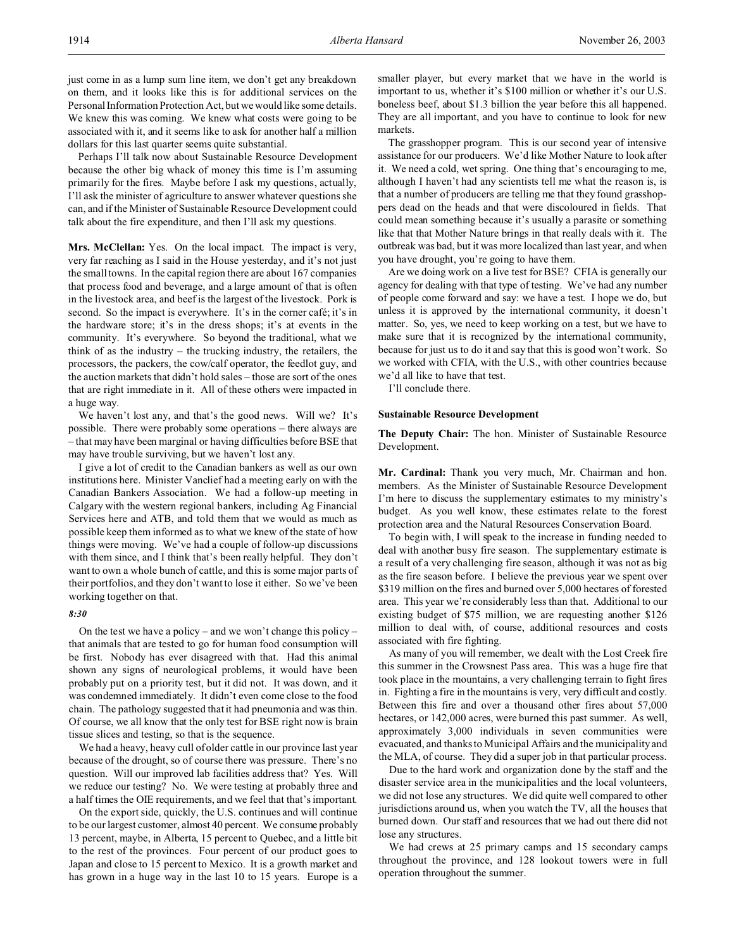just come in as a lump sum line item, we don't get any breakdown on them, and it looks like this is for additional services on the Personal Information Protection Act, but we would like some details. We knew this was coming. We knew what costs were going to be associated with it, and it seems like to ask for another half a million dollars for this last quarter seems quite substantial.

Perhaps I'll talk now about Sustainable Resource Development because the other big whack of money this time is I'm assuming primarily for the fires. Maybe before I ask my questions, actually, I'll ask the minister of agriculture to answer whatever questions she can, and if the Minister of Sustainable Resource Development could talk about the fire expenditure, and then I'll ask my questions.

**Mrs. McClellan:** Yes. On the local impact. The impact is very, very far reaching as I said in the House yesterday, and it's not just the small towns. In the capital region there are about 167 companies that process food and beverage, and a large amount of that is often in the livestock area, and beef is the largest of the livestock. Pork is second. So the impact is everywhere. It's in the corner café; it's in the hardware store; it's in the dress shops; it's at events in the community. It's everywhere. So beyond the traditional, what we think of as the industry – the trucking industry, the retailers, the processors, the packers, the cow/calf operator, the feedlot guy, and the auction markets that didn't hold sales – those are sort of the ones that are right immediate in it. All of these others were impacted in a huge way.

We haven't lost any, and that's the good news. Will we? It's possible. There were probably some operations – there always are – that may have been marginal or having difficulties before BSE that may have trouble surviving, but we haven't lost any.

I give a lot of credit to the Canadian bankers as well as our own institutions here. Minister Vanclief had a meeting early on with the Canadian Bankers Association. We had a follow-up meeting in Calgary with the western regional bankers, including Ag Financial Services here and ATB, and told them that we would as much as possible keep them informed as to what we knew of the state of how things were moving. We've had a couple of follow-up discussions with them since, and I think that's been really helpful. They don't want to own a whole bunch of cattle, and this is some major parts of their portfolios, and they don't want to lose it either. So we've been working together on that.

# *8:30*

On the test we have a policy – and we won't change this policy – that animals that are tested to go for human food consumption will be first. Nobody has ever disagreed with that. Had this animal shown any signs of neurological problems, it would have been probably put on a priority test, but it did not. It was down, and it was condemned immediately. It didn't even come close to the food chain. The pathology suggested that it had pneumonia and was thin. Of course, we all know that the only test for BSE right now is brain tissue slices and testing, so that is the sequence.

We had a heavy, heavy cull of older cattle in our province last year because of the drought, so of course there was pressure. There's no question. Will our improved lab facilities address that? Yes. Will we reduce our testing? No. We were testing at probably three and a half times the OIE requirements, and we feel that that's important.

On the export side, quickly, the U.S. continues and will continue to be our largest customer, almost 40 percent. We consume probably 13 percent, maybe, in Alberta, 15 percent to Quebec, and a little bit to the rest of the provinces. Four percent of our product goes to Japan and close to 15 percent to Mexico. It is a growth market and has grown in a huge way in the last 10 to 15 years. Europe is a smaller player, but every market that we have in the world is important to us, whether it's \$100 million or whether it's our U.S. boneless beef, about \$1.3 billion the year before this all happened. They are all important, and you have to continue to look for new markets.

The grasshopper program. This is our second year of intensive assistance for our producers. We'd like Mother Nature to look after it. We need a cold, wet spring. One thing that's encouraging to me, although I haven't had any scientists tell me what the reason is, is that a number of producers are telling me that they found grasshoppers dead on the heads and that were discoloured in fields. That could mean something because it's usually a parasite or something like that that Mother Nature brings in that really deals with it. The outbreak was bad, but it was more localized than last year, and when you have drought, you're going to have them.

Are we doing work on a live test for BSE? CFIA is generally our agency for dealing with that type of testing. We've had any number of people come forward and say: we have a test. I hope we do, but unless it is approved by the international community, it doesn't matter. So, yes, we need to keep working on a test, but we have to make sure that it is recognized by the international community, because for just us to do it and say that this is good won't work. So we worked with CFIA, with the U.S., with other countries because we'd all like to have that test.

I'll conclude there.

#### **Sustainable Resource Development**

**The Deputy Chair:** The hon. Minister of Sustainable Resource Development.

**Mr. Cardinal:** Thank you very much, Mr. Chairman and hon. members. As the Minister of Sustainable Resource Development I'm here to discuss the supplementary estimates to my ministry's budget. As you well know, these estimates relate to the forest protection area and the Natural Resources Conservation Board.

To begin with, I will speak to the increase in funding needed to deal with another busy fire season. The supplementary estimate is a result of a very challenging fire season, although it was not as big as the fire season before. I believe the previous year we spent over \$319 million on the fires and burned over 5,000 hectares of forested area. This year we're considerably less than that. Additional to our existing budget of \$75 million, we are requesting another \$126 million to deal with, of course, additional resources and costs associated with fire fighting.

As many of you will remember, we dealt with the Lost Creek fire this summer in the Crowsnest Pass area. This was a huge fire that took place in the mountains, a very challenging terrain to fight fires in. Fighting a fire in the mountains is very, very difficult and costly. Between this fire and over a thousand other fires about 57,000 hectares, or 142,000 acres, were burned this past summer. As well, approximately 3,000 individuals in seven communities were evacuated, and thanks to Municipal Affairs and the municipality and the MLA, of course. They did a super job in that particular process.

Due to the hard work and organization done by the staff and the disaster service area in the municipalities and the local volunteers, we did not lose any structures. We did quite well compared to other jurisdictions around us, when you watch the TV, all the houses that burned down. Our staff and resources that we had out there did not lose any structures.

We had crews at 25 primary camps and 15 secondary camps throughout the province, and 128 lookout towers were in full operation throughout the summer.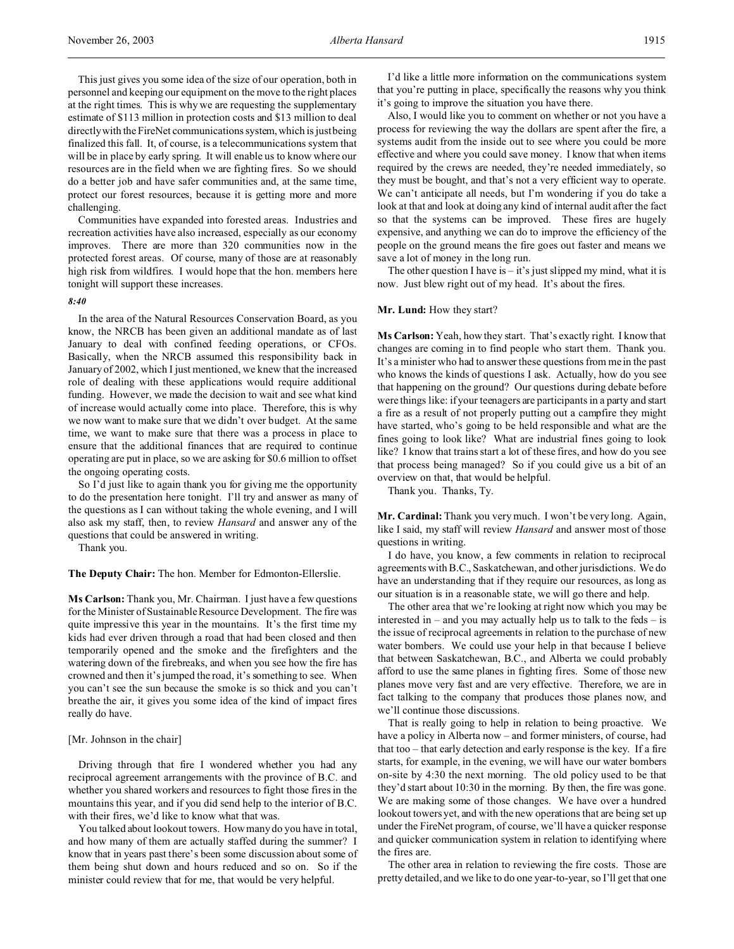This just gives you some idea of the size of our operation, both in personnel and keeping our equipment on the move to the right places at the right times. This is why we are requesting the supplementary estimate of \$113 million in protection costs and \$13 million to deal directly with the FireNet communications system, which is just being finalized this fall. It, of course, is a telecommunications system that will be in place by early spring. It will enable us to know where our resources are in the field when we are fighting fires. So we should do a better job and have safer communities and, at the same time, protect our forest resources, because it is getting more and more challenging.

Communities have expanded into forested areas. Industries and recreation activities have also increased, especially as our economy improves. There are more than 320 communities now in the protected forest areas. Of course, many of those are at reasonably high risk from wildfires. I would hope that the hon. members here tonight will support these increases.

## *8:40*

In the area of the Natural Resources Conservation Board, as you know, the NRCB has been given an additional mandate as of last January to deal with confined feeding operations, or CFOs. Basically, when the NRCB assumed this responsibility back in January of 2002, which I just mentioned, we knew that the increased role of dealing with these applications would require additional funding. However, we made the decision to wait and see what kind of increase would actually come into place. Therefore, this is why we now want to make sure that we didn't over budget. At the same time, we want to make sure that there was a process in place to ensure that the additional finances that are required to continue operating are put in place, so we are asking for \$0.6 million to offset the ongoing operating costs.

So I'd just like to again thank you for giving me the opportunity to do the presentation here tonight. I'll try and answer as many of the questions as I can without taking the whole evening, and I will also ask my staff, then, to review *Hansard* and answer any of the questions that could be answered in writing.

Thank you.

**The Deputy Chair:** The hon. Member for Edmonton-Ellerslie.

**Ms Carlson:** Thank you, Mr. Chairman. I just have a few questions for the Minister of Sustainable Resource Development. The fire was quite impressive this year in the mountains. It's the first time my kids had ever driven through a road that had been closed and then temporarily opened and the smoke and the firefighters and the watering down of the firebreaks, and when you see how the fire has crowned and then it's jumped the road, it's something to see. When you can't see the sun because the smoke is so thick and you can't breathe the air, it gives you some idea of the kind of impact fires really do have.

# [Mr. Johnson in the chair]

Driving through that fire I wondered whether you had any reciprocal agreement arrangements with the province of B.C. and whether you shared workers and resources to fight those fires in the mountains this year, and if you did send help to the interior of B.C. with their fires, we'd like to know what that was.

You talked about lookout towers. How many do you have in total, and how many of them are actually staffed during the summer? I know that in years past there's been some discussion about some of them being shut down and hours reduced and so on. So if the minister could review that for me, that would be very helpful.

I'd like a little more information on the communications system that you're putting in place, specifically the reasons why you think it's going to improve the situation you have there.

Also, I would like you to comment on whether or not you have a process for reviewing the way the dollars are spent after the fire, a systems audit from the inside out to see where you could be more effective and where you could save money. I know that when items required by the crews are needed, they're needed immediately, so they must be bought, and that's not a very efficient way to operate. We can't anticipate all needs, but I'm wondering if you do take a look at that and look at doing any kind of internal audit after the fact so that the systems can be improved. These fires are hugely expensive, and anything we can do to improve the efficiency of the people on the ground means the fire goes out faster and means we save a lot of money in the long run.

The other question I have is  $-$  it's just slipped my mind, what it is now. Just blew right out of my head. It's about the fires.

### **Mr. Lund:** How they start?

**Ms Carlson:** Yeah, how they start. That's exactly right. I know that changes are coming in to find people who start them. Thank you. It's a minister who had to answer these questions from me in the past who knows the kinds of questions I ask. Actually, how do you see that happening on the ground? Our questions during debate before were things like: if your teenagers are participants in a party and start a fire as a result of not properly putting out a campfire they might have started, who's going to be held responsible and what are the fines going to look like? What are industrial fines going to look like? I know that trains start a lot of these fires, and how do you see that process being managed? So if you could give us a bit of an overview on that, that would be helpful.

Thank you. Thanks, Ty.

**Mr. Cardinal:** Thank you very much. I won't be very long. Again, like I said, my staff will review *Hansard* and answer most of those questions in writing.

I do have, you know, a few comments in relation to reciprocal agreements with B.C., Saskatchewan, and other jurisdictions. We do have an understanding that if they require our resources, as long as our situation is in a reasonable state, we will go there and help.

The other area that we're looking at right now which you may be interested in – and you may actually help us to talk to the feds – is the issue of reciprocal agreements in relation to the purchase of new water bombers. We could use your help in that because I believe that between Saskatchewan, B.C., and Alberta we could probably afford to use the same planes in fighting fires. Some of those new planes move very fast and are very effective. Therefore, we are in fact talking to the company that produces those planes now, and we'll continue those discussions.

That is really going to help in relation to being proactive. We have a policy in Alberta now – and former ministers, of course, had that too – that early detection and early response is the key. If a fire starts, for example, in the evening, we will have our water bombers on-site by 4:30 the next morning. The old policy used to be that they'd start about 10:30 in the morning. By then, the fire was gone. We are making some of those changes. We have over a hundred lookout towers yet, and with the new operations that are being set up under the FireNet program, of course, we'll have a quicker response and quicker communication system in relation to identifying where the fires are.

The other area in relation to reviewing the fire costs. Those are pretty detailed, and we like to do one year-to-year, so I'll get that one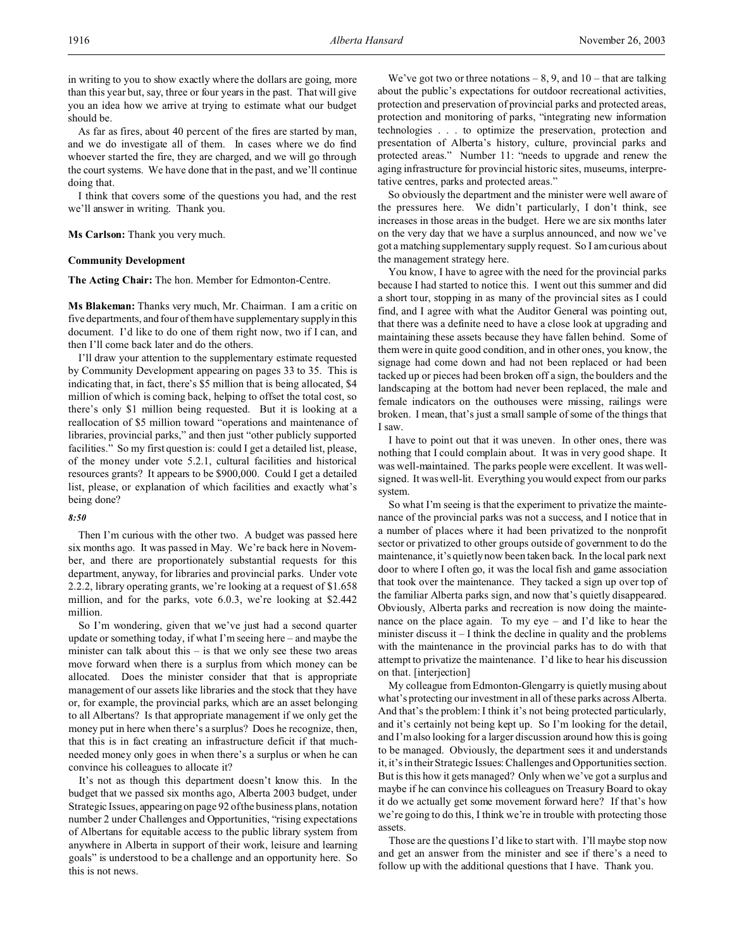in writing to you to show exactly where the dollars are going, more than this year but, say, three or four years in the past. That will give you an idea how we arrive at trying to estimate what our budget should be.

As far as fires, about 40 percent of the fires are started by man, and we do investigate all of them. In cases where we do find whoever started the fire, they are charged, and we will go through the court systems. We have done that in the past, and we'll continue doing that.

I think that covers some of the questions you had, and the rest we'll answer in writing. Thank you.

# **Ms Carlson:** Thank you very much.

### **Community Development**

**The Acting Chair:** The hon. Member for Edmonton-Centre.

**Ms Blakeman:** Thanks very much, Mr. Chairman. I am a critic on five departments, and four of them have supplementary supply in this document. I'd like to do one of them right now, two if I can, and then I'll come back later and do the others.

I'll draw your attention to the supplementary estimate requested by Community Development appearing on pages 33 to 35. This is indicating that, in fact, there's \$5 million that is being allocated, \$4 million of which is coming back, helping to offset the total cost, so there's only \$1 million being requested. But it is looking at a reallocation of \$5 million toward "operations and maintenance of libraries, provincial parks," and then just "other publicly supported facilities." So my first question is: could I get a detailed list, please, of the money under vote 5.2.1, cultural facilities and historical resources grants? It appears to be \$900,000. Could I get a detailed list, please, or explanation of which facilities and exactly what's being done?

#### *8:50*

Then I'm curious with the other two. A budget was passed here six months ago. It was passed in May. We're back here in November, and there are proportionately substantial requests for this department, anyway, for libraries and provincial parks. Under vote 2.2.2, library operating grants, we're looking at a request of \$1.658 million, and for the parks, vote 6.0.3, we're looking at \$2.442 million.

So I'm wondering, given that we've just had a second quarter update or something today, if what I'm seeing here – and maybe the minister can talk about this  $-$  is that we only see these two areas move forward when there is a surplus from which money can be allocated. Does the minister consider that that is appropriate management of our assets like libraries and the stock that they have or, for example, the provincial parks, which are an asset belonging to all Albertans? Is that appropriate management if we only get the money put in here when there's a surplus? Does he recognize, then, that this is in fact creating an infrastructure deficit if that muchneeded money only goes in when there's a surplus or when he can convince his colleagues to allocate it?

It's not as though this department doesn't know this. In the budget that we passed six months ago, Alberta 2003 budget, under Strategic Issues, appearing on page 92 of the business plans, notation number 2 under Challenges and Opportunities, "rising expectations of Albertans for equitable access to the public library system from anywhere in Alberta in support of their work, leisure and learning goals" is understood to be a challenge and an opportunity here. So this is not news.

We've got two or three notations  $-8, 9$ , and  $10$  – that are talking about the public's expectations for outdoor recreational activities, protection and preservation of provincial parks and protected areas, protection and monitoring of parks, "integrating new information technologies . . . to optimize the preservation, protection and presentation of Alberta's history, culture, provincial parks and protected areas." Number 11: "needs to upgrade and renew the aging infrastructure for provincial historic sites, museums, interpretative centres, parks and protected areas."

So obviously the department and the minister were well aware of the pressures here. We didn't particularly, I don't think, see increases in those areas in the budget. Here we are six months later on the very day that we have a surplus announced, and now we've got a matching supplementary supply request. So I am curious about the management strategy here.

You know, I have to agree with the need for the provincial parks because I had started to notice this. I went out this summer and did a short tour, stopping in as many of the provincial sites as I could find, and I agree with what the Auditor General was pointing out, that there was a definite need to have a close look at upgrading and maintaining these assets because they have fallen behind. Some of them were in quite good condition, and in other ones, you know, the signage had come down and had not been replaced or had been tacked up or pieces had been broken off a sign, the boulders and the landscaping at the bottom had never been replaced, the male and female indicators on the outhouses were missing, railings were broken. I mean, that's just a small sample of some of the things that I saw.

I have to point out that it was uneven. In other ones, there was nothing that I could complain about. It was in very good shape. It was well-maintained. The parks people were excellent. It was wellsigned. It was well-lit. Everything you would expect from our parks system.

So what I'm seeing is that the experiment to privatize the maintenance of the provincial parks was not a success, and I notice that in a number of places where it had been privatized to the nonprofit sector or privatized to other groups outside of government to do the maintenance, it's quietly now been taken back. In the local park next door to where I often go, it was the local fish and game association that took over the maintenance. They tacked a sign up over top of the familiar Alberta parks sign, and now that's quietly disappeared. Obviously, Alberta parks and recreation is now doing the maintenance on the place again. To my eye – and I'd like to hear the minister discuss it – I think the decline in quality and the problems with the maintenance in the provincial parks has to do with that attempt to privatize the maintenance. I'd like to hear his discussion on that. [interjection]

My colleague from Edmonton-Glengarry is quietly musing about what's protecting our investment in all of these parks across Alberta. And that's the problem: I think it's not being protected particularly, and it's certainly not being kept up. So I'm looking for the detail, and I'm also looking for a larger discussion around how this is going to be managed. Obviously, the department sees it and understands it, it's in their Strategic Issues: Challenges and Opportunities section. But is this how it gets managed? Only when we've got a surplus and maybe if he can convince his colleagues on Treasury Board to okay it do we actually get some movement forward here? If that's how we're going to do this, I think we're in trouble with protecting those assets.

Those are the questions I'd like to start with. I'll maybe stop now and get an answer from the minister and see if there's a need to follow up with the additional questions that I have. Thank you.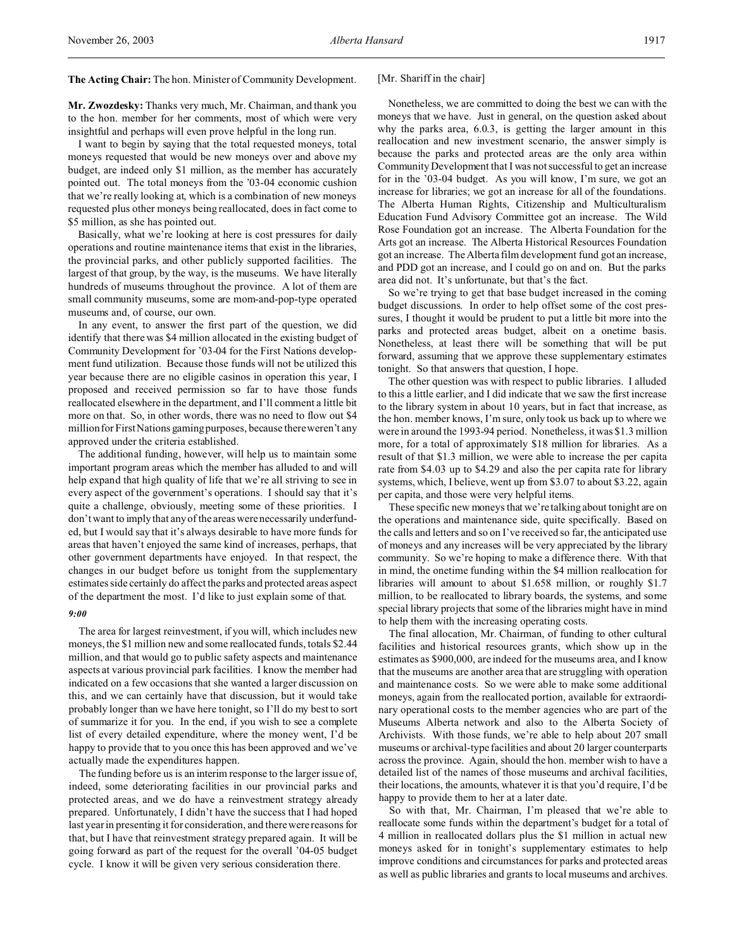**The Acting Chair:** The hon. Minister of Community Development.

**Mr. Zwozdesky:** Thanks very much, Mr. Chairman, and thank you to the hon. member for her comments, most of which were very insightful and perhaps will even prove helpful in the long run.

I want to begin by saying that the total requested moneys, total moneys requested that would be new moneys over and above my budget, are indeed only \$1 million, as the member has accurately pointed out. The total moneys from the '03-04 economic cushion that we're really looking at, which is a combination of new moneys requested plus other moneys being reallocated, does in fact come to \$5 million, as she has pointed out.

Basically, what we're looking at here is cost pressures for daily operations and routine maintenance items that exist in the libraries, the provincial parks, and other publicly supported facilities. The largest of that group, by the way, is the museums. We have literally hundreds of museums throughout the province. A lot of them are small community museums, some are mom-and-pop-type operated museums and, of course, our own.

In any event, to answer the first part of the question, we did identify that there was \$4 million allocated in the existing budget of Community Development for '03-04 for the First Nations development fund utilization. Because those funds will not be utilized this year because there are no eligible casinos in operation this year, I proposed and received permission so far to have those funds reallocated elsewhere in the department, and I'll comment a little bit more on that. So, in other words, there was no need to flow out \$4 million for First Nations gaming purposes, because there weren't any approved under the criteria established.

The additional funding, however, will help us to maintain some important program areas which the member has alluded to and will help expand that high quality of life that we're all striving to see in every aspect of the government's operations. I should say that it's quite a challenge, obviously, meeting some of these priorities. I don't want to imply that any of the areas were necessarily underfunded, but I would say that it's always desirable to have more funds for areas that haven't enjoyed the same kind of increases, perhaps, that other government departments have enjoyed. In that respect, the changes in our budget before us tonight from the supplementary estimates side certainly do affect the parks and protected areas aspect of the department the most. I'd like to just explain some of that.

# *9:00*

The area for largest reinvestment, if you will, which includes new moneys, the \$1 million new and some reallocated funds, totals \$2.44 million, and that would go to public safety aspects and maintenance aspects at various provincial park facilities. I know the member had indicated on a few occasions that she wanted a larger discussion on this, and we can certainly have that discussion, but it would take probably longer than we have here tonight, so I'll do my best to sort of summarize it for you. In the end, if you wish to see a complete list of every detailed expenditure, where the money went, I'd be happy to provide that to you once this has been approved and we've actually made the expenditures happen.

The funding before us is an interim response to the larger issue of, indeed, some deteriorating facilities in our provincial parks and protected areas, and we do have a reinvestment strategy already prepared. Unfortunately, I didn't have the success that I had hoped last year in presenting it for consideration, and there were reasons for that, but I have that reinvestment strategy prepared again. It will be going forward as part of the request for the overall '04-05 budget cycle. I know it will be given very serious consideration there.

## [Mr. Shariff in the chair]

Nonetheless, we are committed to doing the best we can with the moneys that we have. Just in general, on the question asked about why the parks area, 6.0.3, is getting the larger amount in this reallocation and new investment scenario, the answer simply is because the parks and protected areas are the only area within Community Development that I was not successful to get an increase for in the '03-04 budget. As you will know, I'm sure, we got an increase for libraries; we got an increase for all of the foundations. The Alberta Human Rights, Citizenship and Multiculturalism Education Fund Advisory Committee got an increase. The Wild Rose Foundation got an increase. The Alberta Foundation for the Arts got an increase. The Alberta Historical Resources Foundation got an increase. The Alberta film development fund got an increase, and PDD got an increase, and I could go on and on. But the parks area did not. It's unfortunate, but that's the fact.

So we're trying to get that base budget increased in the coming budget discussions. In order to help offset some of the cost pressures, I thought it would be prudent to put a little bit more into the parks and protected areas budget, albeit on a onetime basis. Nonetheless, at least there will be something that will be put forward, assuming that we approve these supplementary estimates tonight. So that answers that question, I hope.

The other question was with respect to public libraries. I alluded to this a little earlier, and I did indicate that we saw the first increase to the library system in about 10 years, but in fact that increase, as the hon. member knows, I'm sure, only took us back up to where we were in around the 1993-94 period. Nonetheless, it was \$1.3 million more, for a total of approximately \$18 million for libraries. As a result of that \$1.3 million, we were able to increase the per capita rate from \$4.03 up to \$4.29 and also the per capita rate for library systems, which, I believe, went up from \$3.07 to about \$3.22, again per capita, and those were very helpful items.

These specific new moneys that we're talking about tonight are on the operations and maintenance side, quite specifically. Based on the calls and letters and so on I've received so far, the anticipated use of moneys and any increases will be very appreciated by the library community. So we're hoping to make a difference there. With that in mind, the onetime funding within the \$4 million reallocation for libraries will amount to about \$1.658 million, or roughly \$1.7 million, to be reallocated to library boards, the systems, and some special library projects that some of the libraries might have in mind to help them with the increasing operating costs.

The final allocation, Mr. Chairman, of funding to other cultural facilities and historical resources grants, which show up in the estimates as \$900,000, are indeed for the museums area, and I know that the museums are another area that are struggling with operation and maintenance costs. So we were able to make some additional moneys, again from the reallocated portion, available for extraordinary operational costs to the member agencies who are part of the Museums Alberta network and also to the Alberta Society of Archivists. With those funds, we're able to help about 207 small museums or archival-type facilities and about 20 larger counterparts across the province. Again, should the hon. member wish to have a detailed list of the names of those museums and archival facilities, their locations, the amounts, whatever it is that you'd require, I'd be happy to provide them to her at a later date.

So with that, Mr. Chairman, I'm pleased that we're able to reallocate some funds within the department's budget for a total of 4 million in reallocated dollars plus the \$1 million in actual new moneys asked for in tonight's supplementary estimates to help improve conditions and circumstances for parks and protected areas as well as public libraries and grants to local museums and archives.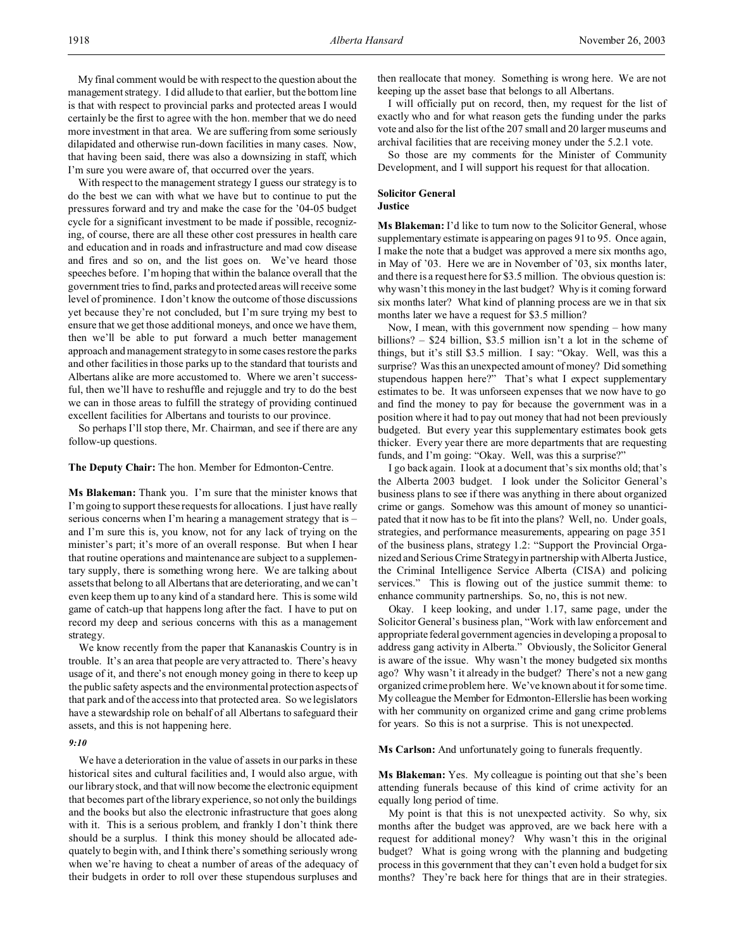My final comment would be with respect to the question about the management strategy. I did allude to that earlier, but the bottom line is that with respect to provincial parks and protected areas I would certainly be the first to agree with the hon. member that we do need more investment in that area. We are suffering from some seriously dilapidated and otherwise run-down facilities in many cases. Now, that having been said, there was also a downsizing in staff, which I'm sure you were aware of, that occurred over the years.

With respect to the management strategy I guess our strategy is to do the best we can with what we have but to continue to put the pressures forward and try and make the case for the '04-05 budget cycle for a significant investment to be made if possible, recognizing, of course, there are all these other cost pressures in health care and education and in roads and infrastructure and mad cow disease and fires and so on, and the list goes on. We've heard those speeches before. I'm hoping that within the balance overall that the government tries to find, parks and protected areas will receive some level of prominence. I don't know the outcome of those discussions yet because they're not concluded, but I'm sure trying my best to ensure that we get those additional moneys, and once we have them, then we'll be able to put forward a much better management approach and management strategy to in some cases restore the parks and other facilities in those parks up to the standard that tourists and Albertans alike are more accustomed to. Where we aren't successful, then we'll have to reshuffle and rejuggle and try to do the best we can in those areas to fulfill the strategy of providing continued excellent facilities for Albertans and tourists to our province.

So perhaps I'll stop there, Mr. Chairman, and see if there are any follow-up questions.

**The Deputy Chair:** The hon. Member for Edmonton-Centre.

**Ms Blakeman:** Thank you. I'm sure that the minister knows that I'm going to support these requests for allocations. I just have really serious concerns when I'm hearing a management strategy that is – and I'm sure this is, you know, not for any lack of trying on the minister's part; it's more of an overall response. But when I hear that routine operations and maintenance are subject to a supplementary supply, there is something wrong here. We are talking about assets that belong to all Albertans that are deteriorating, and we can't even keep them up to any kind of a standard here. This is some wild game of catch-up that happens long after the fact. I have to put on record my deep and serious concerns with this as a management strategy.

We know recently from the paper that Kananaskis Country is in trouble. It's an area that people are very attracted to. There's heavy usage of it, and there's not enough money going in there to keep up the public safety aspects and the environmental protection aspects of that park and of the access into that protected area. So we legislators have a stewardship role on behalf of all Albertans to safeguard their assets, and this is not happening here.

### *9:10*

We have a deterioration in the value of assets in our parks in these historical sites and cultural facilities and, I would also argue, with our library stock, and that will now become the electronic equipment that becomes part of the library experience, so not only the buildings and the books but also the electronic infrastructure that goes along with it. This is a serious problem, and frankly I don't think there should be a surplus. I think this money should be allocated adequately to begin with, and I think there's something seriously wrong when we're having to cheat a number of areas of the adequacy of their budgets in order to roll over these stupendous surpluses and

then reallocate that money. Something is wrong here. We are not keeping up the asset base that belongs to all Albertans.

I will officially put on record, then, my request for the list of exactly who and for what reason gets the funding under the parks vote and also for the list of the 207 small and 20 larger museums and archival facilities that are receiving money under the 5.2.1 vote.

So those are my comments for the Minister of Community Development, and I will support his request for that allocation.

# **Solicitor General Justice**

**Ms Blakeman:** I'd like to turn now to the Solicitor General, whose supplementary estimate is appearing on pages 91 to 95. Once again, I make the note that a budget was approved a mere six months ago, in May of '03. Here we are in November of '03, six months later, and there is a request here for \$3.5 million. The obvious question is: why wasn't this money in the last budget? Why is it coming forward six months later? What kind of planning process are we in that six months later we have a request for \$3.5 million?

Now, I mean, with this government now spending – how many billions? – \$24 billion, \$3.5 million isn't a lot in the scheme of things, but it's still \$3.5 million. I say: "Okay. Well, was this a surprise? Was this an unexpected amount of money? Did something stupendous happen here?" That's what I expect supplementary estimates to be. It was unforseen expenses that we now have to go and find the money to pay for because the government was in a position where it had to pay out money that had not been previously budgeted. But every year this supplementary estimates book gets thicker. Every year there are more departments that are requesting funds, and I'm going: "Okay. Well, was this a surprise?"

I go back again. I look at a document that's six months old; that's the Alberta 2003 budget. I look under the Solicitor General's business plans to see if there was anything in there about organized crime or gangs. Somehow was this amount of money so unanticipated that it now has to be fit into the plans? Well, no. Under goals, strategies, and performance measurements, appearing on page 351 of the business plans, strategy 1.2: "Support the Provincial Organized and Serious Crime Strategy in partnership with Alberta Justice, the Criminal Intelligence Service Alberta (CISA) and policing services." This is flowing out of the justice summit theme: to enhance community partnerships. So, no, this is not new.

Okay. I keep looking, and under 1.17, same page, under the Solicitor General's business plan, "Work with law enforcement and appropriate federal government agencies in developing a proposal to address gang activity in Alberta." Obviously, the Solicitor General is aware of the issue. Why wasn't the money budgeted six months ago? Why wasn't it already in the budget? There's not a new gang organized crime problem here. We've known about it for some time. My colleague the Member for Edmonton-Ellerslie has been working with her community on organized crime and gang crime problems for years. So this is not a surprise. This is not unexpected.

**Ms Carlson:** And unfortunately going to funerals frequently.

**Ms Blakeman:** Yes. My colleague is pointing out that she's been attending funerals because of this kind of crime activity for an equally long period of time.

My point is that this is not unexpected activity. So why, six months after the budget was approved, are we back here with a request for additional money? Why wasn't this in the original budget? What is going wrong with the planning and budgeting process in this government that they can't even hold a budget for six months? They're back here for things that are in their strategies.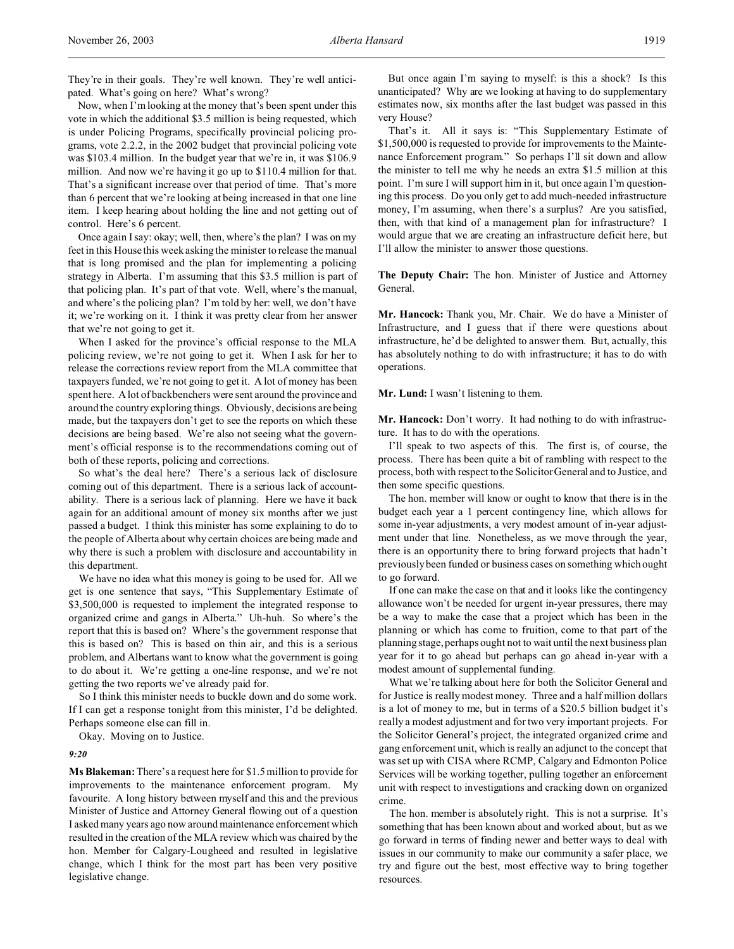They're in their goals. They're well known. They're well anticipated. What's going on here? What's wrong?

Now, when I'm looking at the money that's been spent under this vote in which the additional \$3.5 million is being requested, which is under Policing Programs, specifically provincial policing programs, vote 2.2.2, in the 2002 budget that provincial policing vote was \$103.4 million. In the budget year that we're in, it was \$106.9 million. And now we're having it go up to \$110.4 million for that. That's a significant increase over that period of time. That's more than 6 percent that we're looking at being increased in that one line item. I keep hearing about holding the line and not getting out of control. Here's 6 percent.

Once again I say: okay; well, then, where's the plan? I was on my feet in this House this week asking the minister to release the manual that is long promised and the plan for implementing a policing strategy in Alberta. I'm assuming that this \$3.5 million is part of that policing plan. It's part of that vote. Well, where's the manual, and where's the policing plan? I'm told by her: well, we don't have it; we're working on it. I think it was pretty clear from her answer that we're not going to get it.

When I asked for the province's official response to the MLA policing review, we're not going to get it. When I ask for her to release the corrections review report from the MLA committee that taxpayers funded, we're not going to get it. A lot of money has been spent here. A lot of backbenchers were sent around the province and around the country exploring things. Obviously, decisions are being made, but the taxpayers don't get to see the reports on which these decisions are being based. We're also not seeing what the government's official response is to the recommendations coming out of both of these reports, policing and corrections.

So what's the deal here? There's a serious lack of disclosure coming out of this department. There is a serious lack of accountability. There is a serious lack of planning. Here we have it back again for an additional amount of money six months after we just passed a budget. I think this minister has some explaining to do to the people of Alberta about why certain choices are being made and why there is such a problem with disclosure and accountability in this department.

We have no idea what this money is going to be used for. All we get is one sentence that says, "This Supplementary Estimate of \$3,500,000 is requested to implement the integrated response to organized crime and gangs in Alberta." Uh-huh. So where's the report that this is based on? Where's the government response that this is based on? This is based on thin air, and this is a serious problem, and Albertans want to know what the government is going to do about it. We're getting a one-line response, and we're not getting the two reports we've already paid for.

So I think this minister needs to buckle down and do some work. If I can get a response tonight from this minister, I'd be delighted. Perhaps someone else can fill in.

Okay. Moving on to Justice.

#### *9:20*

**Ms Blakeman:**There's a request here for \$1.5 million to provide for improvements to the maintenance enforcement program. My favourite. A long history between myself and this and the previous Minister of Justice and Attorney General flowing out of a question I asked many years ago now around maintenance enforcement which resulted in the creation of the MLA review which was chaired by the hon. Member for Calgary-Lougheed and resulted in legislative change, which I think for the most part has been very positive legislative change.

But once again I'm saying to myself: is this a shock? Is this unanticipated? Why are we looking at having to do supplementary estimates now, six months after the last budget was passed in this very House?

That's it. All it says is: "This Supplementary Estimate of \$1,500,000 is requested to provide for improvements to the Maintenance Enforcement program." So perhaps I'll sit down and allow the minister to tell me why he needs an extra \$1.5 million at this point. I'm sure I will support him in it, but once again I'm questioning this process. Do you only get to add much-needed infrastructure money, I'm assuming, when there's a surplus? Are you satisfied, then, with that kind of a management plan for infrastructure? I would argue that we are creating an infrastructure deficit here, but I'll allow the minister to answer those questions.

**The Deputy Chair:** The hon. Minister of Justice and Attorney General.

**Mr. Hancock:** Thank you, Mr. Chair. We do have a Minister of Infrastructure, and I guess that if there were questions about infrastructure, he'd be delighted to answer them. But, actually, this has absolutely nothing to do with infrastructure; it has to do with operations.

**Mr. Lund:** I wasn't listening to them.

**Mr. Hancock:** Don't worry. It had nothing to do with infrastructure. It has to do with the operations.

I'll speak to two aspects of this. The first is, of course, the process. There has been quite a bit of rambling with respect to the process, both with respect to the Solicitor General and to Justice, and then some specific questions.

The hon. member will know or ought to know that there is in the budget each year a 1 percent contingency line, which allows for some in-year adjustments, a very modest amount of in-year adjustment under that line. Nonetheless, as we move through the year, there is an opportunity there to bring forward projects that hadn't previously been funded or business cases on something which ought to go forward.

If one can make the case on that and it looks like the contingency allowance won't be needed for urgent in-year pressures, there may be a way to make the case that a project which has been in the planning or which has come to fruition, come to that part of the planning stage, perhaps ought not to wait until the next business plan year for it to go ahead but perhaps can go ahead in-year with a modest amount of supplemental funding.

What we're talking about here for both the Solicitor General and for Justice is really modest money. Three and a half million dollars is a lot of money to me, but in terms of a \$20.5 billion budget it's really a modest adjustment and for two very important projects. For the Solicitor General's project, the integrated organized crime and gang enforcement unit, which is really an adjunct to the concept that was set up with CISA where RCMP, Calgary and Edmonton Police Services will be working together, pulling together an enforcement unit with respect to investigations and cracking down on organized crime.

The hon. member is absolutely right. This is not a surprise. It's something that has been known about and worked about, but as we go forward in terms of finding newer and better ways to deal with issues in our community to make our community a safer place, we try and figure out the best, most effective way to bring together resources.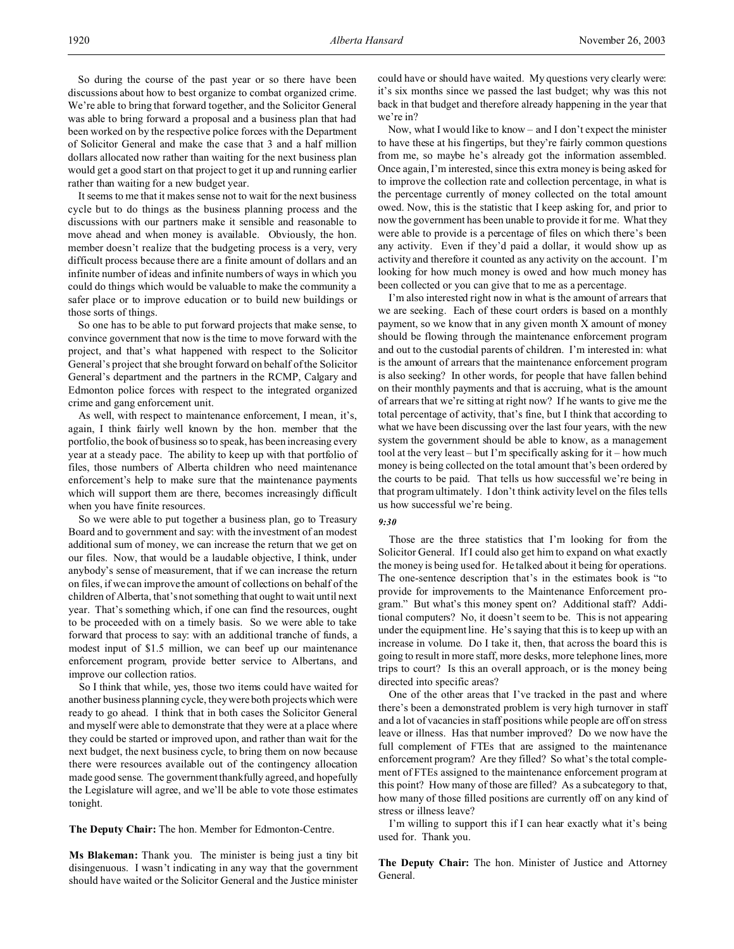It seems to me that it makes sense not to wait for the next business cycle but to do things as the business planning process and the discussions with our partners make it sensible and reasonable to move ahead and when money is available. Obviously, the hon. member doesn't realize that the budgeting process is a very, very difficult process because there are a finite amount of dollars and an infinite number of ideas and infinite numbers of ways in which you could do things which would be valuable to make the community a safer place or to improve education or to build new buildings or those sorts of things.

So one has to be able to put forward projects that make sense, to convince government that now is the time to move forward with the project, and that's what happened with respect to the Solicitor General's project that she brought forward on behalf of the Solicitor General's department and the partners in the RCMP, Calgary and Edmonton police forces with respect to the integrated organized crime and gang enforcement unit.

As well, with respect to maintenance enforcement, I mean, it's, again, I think fairly well known by the hon. member that the portfolio, the book of business so to speak, has been increasing every year at a steady pace. The ability to keep up with that portfolio of files, those numbers of Alberta children who need maintenance enforcement's help to make sure that the maintenance payments which will support them are there, becomes increasingly difficult when you have finite resources.

So we were able to put together a business plan, go to Treasury Board and to government and say: with the investment of an modest additional sum of money, we can increase the return that we get on our files. Now, that would be a laudable objective, I think, under anybody's sense of measurement, that if we can increase the return on files, if we can improve the amount of collections on behalf of the children of Alberta, that's not something that ought to wait until next year. That's something which, if one can find the resources, ought to be proceeded with on a timely basis. So we were able to take forward that process to say: with an additional tranche of funds, a modest input of \$1.5 million, we can beef up our maintenance enforcement program, provide better service to Albertans, and improve our collection ratios.

So I think that while, yes, those two items could have waited for another business planning cycle, they were both projects which were ready to go ahead. I think that in both cases the Solicitor General and myself were able to demonstrate that they were at a place where they could be started or improved upon, and rather than wait for the next budget, the next business cycle, to bring them on now because there were resources available out of the contingency allocation made good sense. The government thankfully agreed, and hopefully the Legislature will agree, and we'll be able to vote those estimates tonight.

**The Deputy Chair:** The hon. Member for Edmonton-Centre.

**Ms Blakeman:** Thank you. The minister is being just a tiny bit disingenuous. I wasn't indicating in any way that the government should have waited or the Solicitor General and the Justice minister

could have or should have waited. My questions very clearly were: it's six months since we passed the last budget; why was this not back in that budget and therefore already happening in the year that we're in?

Now, what I would like to know – and I don't expect the minister to have these at his fingertips, but they're fairly common questions from me, so maybe he's already got the information assembled. Once again, I'm interested, since this extra money is being asked for to improve the collection rate and collection percentage, in what is the percentage currently of money collected on the total amount owed. Now, this is the statistic that I keep asking for, and prior to now the government has been unable to provide it for me. What they were able to provide is a percentage of files on which there's been any activity. Even if they'd paid a dollar, it would show up as activity and therefore it counted as any activity on the account. I'm looking for how much money is owed and how much money has been collected or you can give that to me as a percentage.

I'm also interested right now in what is the amount of arrears that we are seeking. Each of these court orders is based on a monthly payment, so we know that in any given month X amount of money should be flowing through the maintenance enforcement program and out to the custodial parents of children. I'm interested in: what is the amount of arrears that the maintenance enforcement program is also seeking? In other words, for people that have fallen behind on their monthly payments and that is accruing, what is the amount of arrears that we're sitting at right now? If he wants to give me the total percentage of activity, that's fine, but I think that according to what we have been discussing over the last four years, with the new system the government should be able to know, as a management tool at the very least – but I'm specifically asking for it – how much money is being collected on the total amount that's been ordered by the courts to be paid. That tells us how successful we're being in that program ultimately. I don't think activity level on the files tells us how successful we're being.

### *9:30*

Those are the three statistics that I'm looking for from the Solicitor General. If I could also get him to expand on what exactly the money is being used for. He talked about it being for operations. The one-sentence description that's in the estimates book is "to provide for improvements to the Maintenance Enforcement program." But what's this money spent on? Additional staff? Additional computers? No, it doesn't seem to be. This is not appearing under the equipment line. He's saying that this is to keep up with an increase in volume. Do I take it, then, that across the board this is going to result in more staff, more desks, more telephone lines, more trips to court? Is this an overall approach, or is the money being directed into specific areas?

One of the other areas that I've tracked in the past and where there's been a demonstrated problem is very high turnover in staff and a lot of vacancies in staff positions while people are off on stress leave or illness. Has that number improved? Do we now have the full complement of FTEs that are assigned to the maintenance enforcement program? Are they filled? So what's the total complement of FTEs assigned to the maintenance enforcement program at this point? How many of those are filled? As a subcategory to that, how many of those filled positions are currently off on any kind of stress or illness leave?

I'm willing to support this if I can hear exactly what it's being used for. Thank you.

**The Deputy Chair:** The hon. Minister of Justice and Attorney General.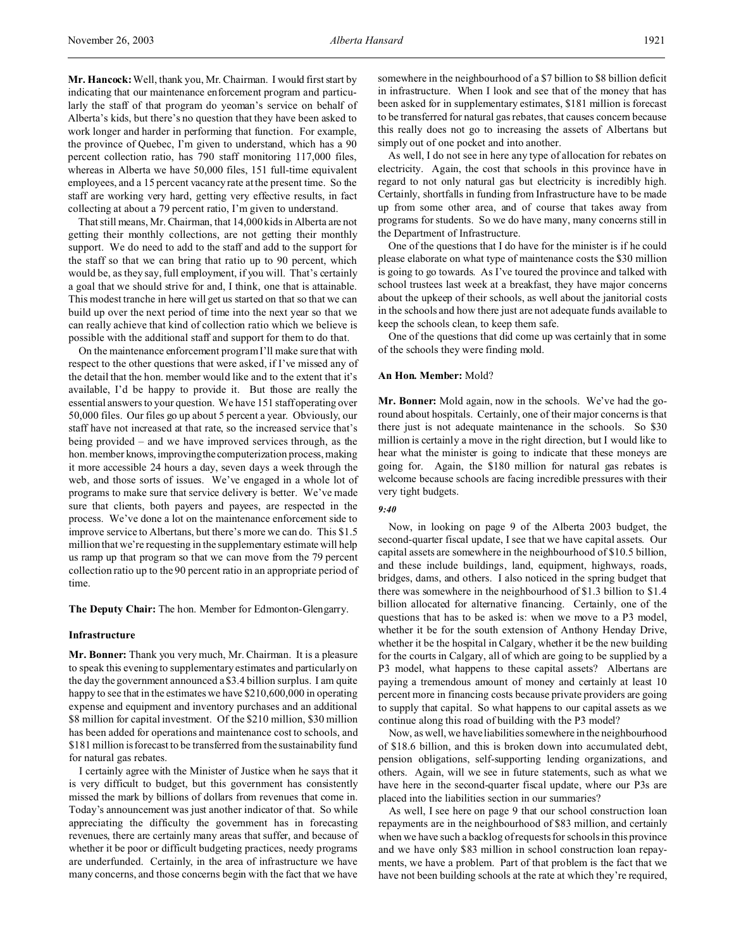**Mr. Hancock:** Well, thank you, Mr. Chairman. I would first start by indicating that our maintenance enforcement program and particularly the staff of that program do yeoman's service on behalf of Alberta's kids, but there's no question that they have been asked to work longer and harder in performing that function. For example, the province of Quebec, I'm given to understand, which has a 90 percent collection ratio, has 790 staff monitoring 117,000 files, whereas in Alberta we have 50,000 files, 151 full-time equivalent employees, and a 15 percent vacancy rate at the present time. So the staff are working very hard, getting very effective results, in fact collecting at about a 79 percent ratio, I'm given to understand.

That still means, Mr. Chairman, that 14,000 kids in Alberta are not getting their monthly collections, are not getting their monthly support. We do need to add to the staff and add to the support for the staff so that we can bring that ratio up to 90 percent, which would be, as they say, full employment, if you will. That's certainly a goal that we should strive for and, I think, one that is attainable. This modest tranche in here will get us started on that so that we can build up over the next period of time into the next year so that we can really achieve that kind of collection ratio which we believe is possible with the additional staff and support for them to do that.

On the maintenance enforcement program I'll make sure that with respect to the other questions that were asked, if I've missed any of the detail that the hon. member would like and to the extent that it's available, I'd be happy to provide it. But those are really the essential answers to your question. We have 151 staff operating over 50,000 files. Our files go up about 5 percent a year. Obviously, our staff have not increased at that rate, so the increased service that's being provided – and we have improved services through, as the hon. member knows, improving the computerization process, making it more accessible 24 hours a day, seven days a week through the web, and those sorts of issues. We've engaged in a whole lot of programs to make sure that service delivery is better. We've made sure that clients, both payers and payees, are respected in the process. We've done a lot on the maintenance enforcement side to improve service to Albertans, but there's more we can do. This \$1.5 million that we're requesting in the supplementary estimate will help us ramp up that program so that we can move from the 79 percent collection ratio up to the 90 percent ratio in an appropriate period of time.

**The Deputy Chair:** The hon. Member for Edmonton-Glengarry.

### **Infrastructure**

**Mr. Bonner:** Thank you very much, Mr. Chairman. It is a pleasure to speak this evening to supplementary estimates and particularly on the day the government announced a \$3.4 billion surplus. I am quite happy to see that in the estimates we have \$210,600,000 in operating expense and equipment and inventory purchases and an additional \$8 million for capital investment. Of the \$210 million, \$30 million has been added for operations and maintenance cost to schools, and \$181 million is forecast to be transferred from the sustainability fund for natural gas rebates.

I certainly agree with the Minister of Justice when he says that it is very difficult to budget, but this government has consistently missed the mark by billions of dollars from revenues that come in. Today's announcement was just another indicator of that. So while appreciating the difficulty the government has in forecasting revenues, there are certainly many areas that suffer, and because of whether it be poor or difficult budgeting practices, needy programs are underfunded. Certainly, in the area of infrastructure we have many concerns, and those concerns begin with the fact that we have

somewhere in the neighbourhood of a \$7 billion to \$8 billion deficit in infrastructure. When I look and see that of the money that has been asked for in supplementary estimates, \$181 million is forecast to be transferred for natural gas rebates, that causes concern because this really does not go to increasing the assets of Albertans but simply out of one pocket and into another.

As well, I do not see in here any type of allocation for rebates on electricity. Again, the cost that schools in this province have in regard to not only natural gas but electricity is incredibly high. Certainly, shortfalls in funding from Infrastructure have to be made up from some other area, and of course that takes away from programs for students. So we do have many, many concerns still in the Department of Infrastructure.

One of the questions that I do have for the minister is if he could please elaborate on what type of maintenance costs the \$30 million is going to go towards. As I've toured the province and talked with school trustees last week at a breakfast, they have major concerns about the upkeep of their schools, as well about the janitorial costs in the schools and how there just are not adequate funds available to keep the schools clean, to keep them safe.

One of the questions that did come up was certainly that in some of the schools they were finding mold.

### **An Hon. Member:** Mold?

**Mr. Bonner:** Mold again, now in the schools. We've had the goround about hospitals. Certainly, one of their major concerns is that there just is not adequate maintenance in the schools. So \$30 million is certainly a move in the right direction, but I would like to hear what the minister is going to indicate that these moneys are going for. Again, the \$180 million for natural gas rebates is welcome because schools are facing incredible pressures with their very tight budgets.

#### *9:40*

Now, in looking on page 9 of the Alberta 2003 budget, the second-quarter fiscal update, I see that we have capital assets. Our capital assets are somewhere in the neighbourhood of \$10.5 billion, and these include buildings, land, equipment, highways, roads, bridges, dams, and others. I also noticed in the spring budget that there was somewhere in the neighbourhood of \$1.3 billion to \$1.4 billion allocated for alternative financing. Certainly, one of the questions that has to be asked is: when we move to a P3 model, whether it be for the south extension of Anthony Henday Drive, whether it be the hospital in Calgary, whether it be the new building for the courts in Calgary, all of which are going to be supplied by a P3 model, what happens to these capital assets? Albertans are paying a tremendous amount of money and certainly at least 10 percent more in financing costs because private providers are going to supply that capital. So what happens to our capital assets as we continue along this road of building with the P3 model?

Now, as well, we have liabilities somewhere in the neighbourhood of \$18.6 billion, and this is broken down into accumulated debt, pension obligations, self-supporting lending organizations, and others. Again, will we see in future statements, such as what we have here in the second-quarter fiscal update, where our P3s are placed into the liabilities section in our summaries?

As well, I see here on page 9 that our school construction loan repayments are in the neighbourhood of \$83 million, and certainly when we have such a backlog of requests for schools in this province and we have only \$83 million in school construction loan repayments, we have a problem. Part of that problem is the fact that we have not been building schools at the rate at which they're required,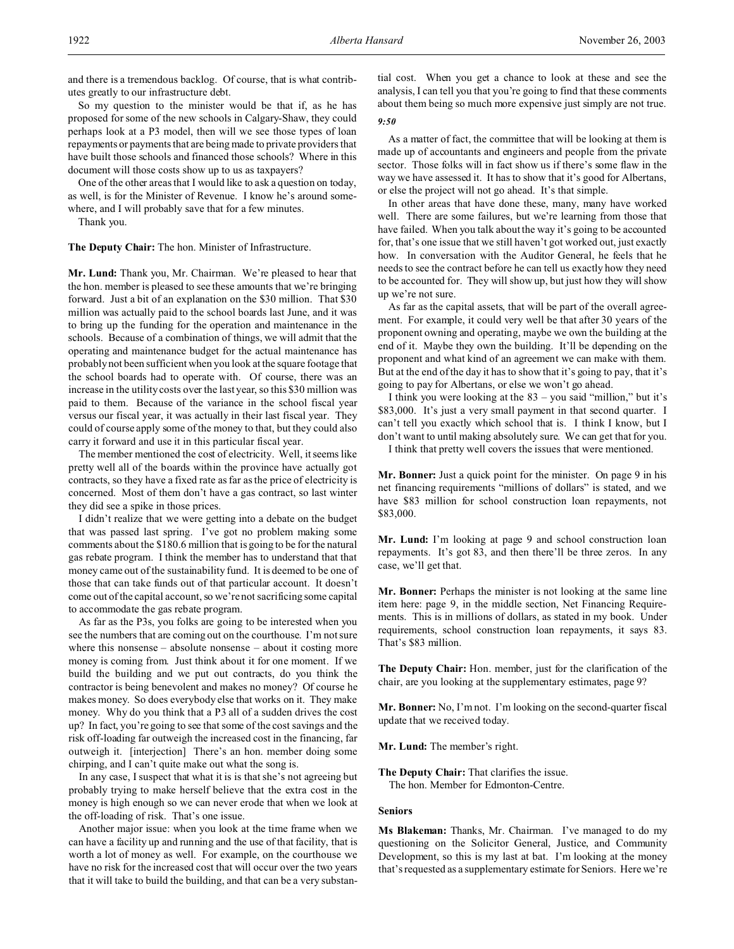and there is a tremendous backlog. Of course, that is what contributes greatly to our infrastructure debt.

So my question to the minister would be that if, as he has proposed for some of the new schools in Calgary-Shaw, they could perhaps look at a P3 model, then will we see those types of loan repayments or payments that are being made to private providers that have built those schools and financed those schools? Where in this document will those costs show up to us as taxpayers?

One of the other areas that I would like to ask a question on today, as well, is for the Minister of Revenue. I know he's around somewhere, and I will probably save that for a few minutes.

Thank you.

**The Deputy Chair:** The hon. Minister of Infrastructure.

**Mr. Lund:** Thank you, Mr. Chairman. We're pleased to hear that the hon. member is pleased to see these amounts that we're bringing forward. Just a bit of an explanation on the \$30 million. That \$30 million was actually paid to the school boards last June, and it was to bring up the funding for the operation and maintenance in the schools. Because of a combination of things, we will admit that the operating and maintenance budget for the actual maintenance has probably not been sufficient when you look at the square footage that the school boards had to operate with. Of course, there was an increase in the utility costs over the last year, so this \$30 million was paid to them. Because of the variance in the school fiscal year versus our fiscal year, it was actually in their last fiscal year. They could of course apply some of the money to that, but they could also carry it forward and use it in this particular fiscal year.

The member mentioned the cost of electricity. Well, it seems like pretty well all of the boards within the province have actually got contracts, so they have a fixed rate as far as the price of electricity is concerned. Most of them don't have a gas contract, so last winter they did see a spike in those prices.

I didn't realize that we were getting into a debate on the budget that was passed last spring. I've got no problem making some comments about the \$180.6 million that is going to be for the natural gas rebate program. I think the member has to understand that that money came out of the sustainability fund. It is deemed to be one of those that can take funds out of that particular account. It doesn't come out of the capital account, so we're not sacrificing some capital to accommodate the gas rebate program.

As far as the P3s, you folks are going to be interested when you see the numbers that are coming out on the courthouse. I'm not sure where this nonsense – absolute nonsense – about it costing more money is coming from. Just think about it for one moment. If we build the building and we put out contracts, do you think the contractor is being benevolent and makes no money? Of course he makes money. So does everybody else that works on it. They make money. Why do you think that a P3 all of a sudden drives the cost up? In fact, you're going to see that some of the cost savings and the risk off-loading far outweigh the increased cost in the financing, far outweigh it. [interjection] There's an hon. member doing some chirping, and I can't quite make out what the song is.

In any case, I suspect that what it is is that she's not agreeing but probably trying to make herself believe that the extra cost in the money is high enough so we can never erode that when we look at the off-loading of risk. That's one issue.

Another major issue: when you look at the time frame when we can have a facility up and running and the use of that facility, that is worth a lot of money as well. For example, on the courthouse we have no risk for the increased cost that will occur over the two years that it will take to build the building, and that can be a very substantial cost. When you get a chance to look at these and see the analysis, I can tell you that you're going to find that these comments about them being so much more expensive just simply are not true. *9:50*

As a matter of fact, the committee that will be looking at them is made up of accountants and engineers and people from the private sector. Those folks will in fact show us if there's some flaw in the way we have assessed it. It has to show that it's good for Albertans, or else the project will not go ahead. It's that simple.

In other areas that have done these, many, many have worked well. There are some failures, but we're learning from those that have failed. When you talk about the way it's going to be accounted for, that's one issue that we still haven't got worked out, just exactly how. In conversation with the Auditor General, he feels that he needs to see the contract before he can tell us exactly how they need to be accounted for. They will show up, but just how they will show up we're not sure.

As far as the capital assets, that will be part of the overall agreement. For example, it could very well be that after 30 years of the proponent owning and operating, maybe we own the building at the end of it. Maybe they own the building. It'll be depending on the proponent and what kind of an agreement we can make with them. But at the end of the day it has to show that it's going to pay, that it's going to pay for Albertans, or else we won't go ahead.

I think you were looking at the 83 – you said "million," but it's \$83,000. It's just a very small payment in that second quarter. I can't tell you exactly which school that is. I think I know, but I don't want to until making absolutely sure. We can get that for you.

I think that pretty well covers the issues that were mentioned.

**Mr. Bonner:** Just a quick point for the minister. On page 9 in his net financing requirements "millions of dollars" is stated, and we have \$83 million for school construction loan repayments, not \$83,000.

**Mr. Lund:** I'm looking at page 9 and school construction loan repayments. It's got 83, and then there'll be three zeros. In any case, we'll get that.

**Mr. Bonner:** Perhaps the minister is not looking at the same line item here: page 9, in the middle section, Net Financing Requirements. This is in millions of dollars, as stated in my book. Under requirements, school construction loan repayments, it says 83. That's \$83 million.

**The Deputy Chair:** Hon. member, just for the clarification of the chair, are you looking at the supplementary estimates, page 9?

**Mr. Bonner:** No, I'm not. I'm looking on the second-quarter fiscal update that we received today.

**Mr. Lund:** The member's right.

**The Deputy Chair:** That clarifies the issue. The hon. Member for Edmonton-Centre.

#### **Seniors**

**Ms Blakeman:** Thanks, Mr. Chairman. I've managed to do my questioning on the Solicitor General, Justice, and Community Development, so this is my last at bat. I'm looking at the money that's requested as a supplementary estimate for Seniors. Here we're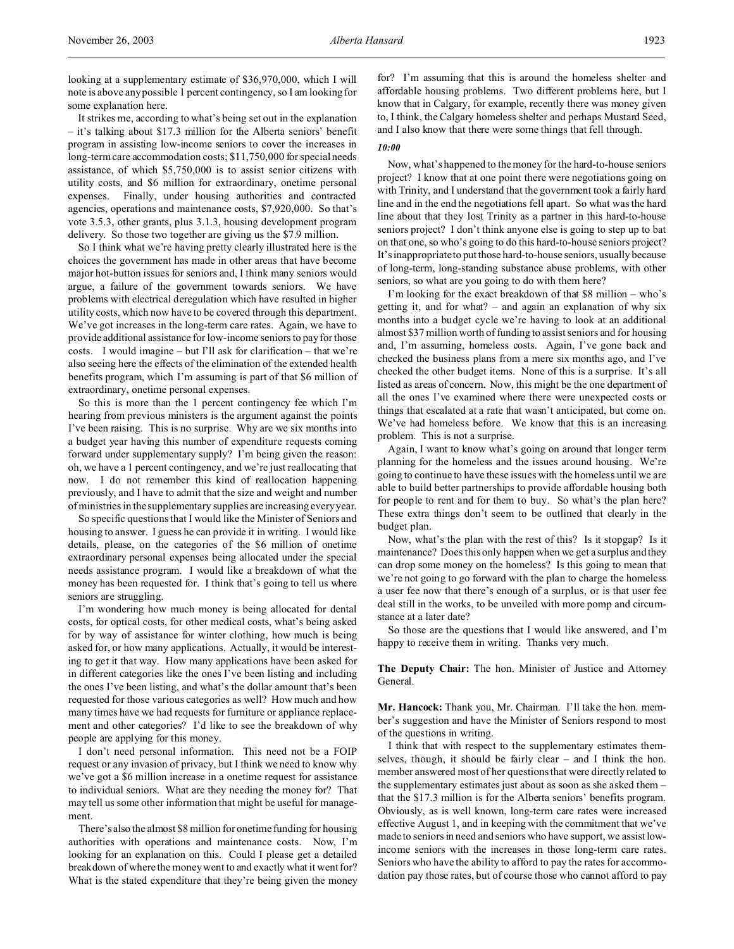looking at a supplementary estimate of \$36,970,000, which I will note is above any possible 1 percent contingency, so I am looking for some explanation here.

It strikes me, according to what's being set out in the explanation – it's talking about \$17.3 million for the Alberta seniors' benefit program in assisting low-income seniors to cover the increases in long-term care accommodation costs; \$11,750,000 for special needs assistance, of which \$5,750,000 is to assist senior citizens with utility costs, and \$6 million for extraordinary, onetime personal expenses. Finally, under housing authorities and contracted agencies, operations and maintenance costs, \$7,920,000. So that's vote 3.5.3, other grants, plus 3.1.3, housing development program delivery. So those two together are giving us the \$7.9 million.

So I think what we're having pretty clearly illustrated here is the choices the government has made in other areas that have become major hot-button issues for seniors and, I think many seniors would argue, a failure of the government towards seniors. We have problems with electrical deregulation which have resulted in higher utility costs, which now have to be covered through this department. We've got increases in the long-term care rates. Again, we have to provide additional assistance for low-income seniors to pay for those costs. I would imagine – but I'll ask for clarification – that we're also seeing here the effects of the elimination of the extended health benefits program, which I'm assuming is part of that \$6 million of extraordinary, onetime personal expenses.

So this is more than the 1 percent contingency fee which I'm hearing from previous ministers is the argument against the points I've been raising. This is no surprise. Why are we six months into a budget year having this number of expenditure requests coming forward under supplementary supply? I'm being given the reason: oh, we have a 1 percent contingency, and we're just reallocating that now. I do not remember this kind of reallocation happening previously, and I have to admit that the size and weight and number of ministries in the supplementary supplies are increasing every year.

So specific questions that I would like the Minister of Seniors and housing to answer. I guess he can provide it in writing. I would like details, please, on the categories of the \$6 million of onetime extraordinary personal expenses being allocated under the special needs assistance program. I would like a breakdown of what the money has been requested for. I think that's going to tell us where seniors are struggling.

I'm wondering how much money is being allocated for dental costs, for optical costs, for other medical costs, what's being asked for by way of assistance for winter clothing, how much is being asked for, or how many applications. Actually, it would be interesting to get it that way. How many applications have been asked for in different categories like the ones I've been listing and including the ones I've been listing, and what's the dollar amount that's been requested for those various categories as well? How much and how many times have we had requests for furniture or appliance replacement and other categories? I'd like to see the breakdown of why people are applying for this money.

I don't need personal information. This need not be a FOIP request or any invasion of privacy, but I think we need to know why we've got a \$6 million increase in a onetime request for assistance to individual seniors. What are they needing the money for? That may tell us some other information that might be useful for management.

There's also the almost \$8 million for onetime funding for housing authorities with operations and maintenance costs. Now, I'm looking for an explanation on this. Could I please get a detailed breakdown of where the money went to and exactly what it went for? What is the stated expenditure that they're being given the money

for? I'm assuming that this is around the homeless shelter and affordable housing problems. Two different problems here, but I know that in Calgary, for example, recently there was money given to, I think, the Calgary homeless shelter and perhaps Mustard Seed, and I also know that there were some things that fell through.

#### *10:00*

Now, what's happened to the money for the hard-to-house seniors project? I know that at one point there were negotiations going on with Trinity, and I understand that the government took a fairly hard line and in the end the negotiations fell apart. So what was the hard line about that they lost Trinity as a partner in this hard-to-house seniors project? I don't think anyone else is going to step up to bat on that one, so who's going to do this hard-to-house seniors project? It's inappropriate to put those hard-to-house seniors, usually because of long-term, long-standing substance abuse problems, with other seniors, so what are you going to do with them here?

I'm looking for the exact breakdown of that \$8 million – who's getting it, and for what? – and again an explanation of why six months into a budget cycle we're having to look at an additional almost \$37 million worth of funding to assist seniors and for housing and, I'm assuming, homeless costs. Again, I've gone back and checked the business plans from a mere six months ago, and I've checked the other budget items. None of this is a surprise. It's all listed as areas of concern. Now, this might be the one department of all the ones I've examined where there were unexpected costs or things that escalated at a rate that wasn't anticipated, but come on. We've had homeless before. We know that this is an increasing problem. This is not a surprise.

Again, I want to know what's going on around that longer term planning for the homeless and the issues around housing. We're going to continue to have these issues with the homeless until we are able to build better partnerships to provide affordable housing both for people to rent and for them to buy. So what's the plan here? These extra things don't seem to be outlined that clearly in the budget plan.

Now, what's the plan with the rest of this? Is it stopgap? Is it maintenance? Does this only happen when we get a surplus and they can drop some money on the homeless? Is this going to mean that we're not going to go forward with the plan to charge the homeless a user fee now that there's enough of a surplus, or is that user fee deal still in the works, to be unveiled with more pomp and circumstance at a later date?

So those are the questions that I would like answered, and I'm happy to receive them in writing. Thanks very much.

**The Deputy Chair:** The hon. Minister of Justice and Attorney General.

**Mr. Hancock:** Thank you, Mr. Chairman. I'll take the hon. member's suggestion and have the Minister of Seniors respond to most of the questions in writing.

I think that with respect to the supplementary estimates themselves, though, it should be fairly clear – and I think the hon. member answered most of her questions that were directly related to the supplementary estimates just about as soon as she asked them – that the \$17.3 million is for the Alberta seniors' benefits program. Obviously, as is well known, long-term care rates were increased effective August 1, and in keeping with the commitment that we've made to seniors in need and seniors who have support, we assist lowincome seniors with the increases in those long-term care rates. Seniors who have the ability to afford to pay the rates for accommodation pay those rates, but of course those who cannot afford to pay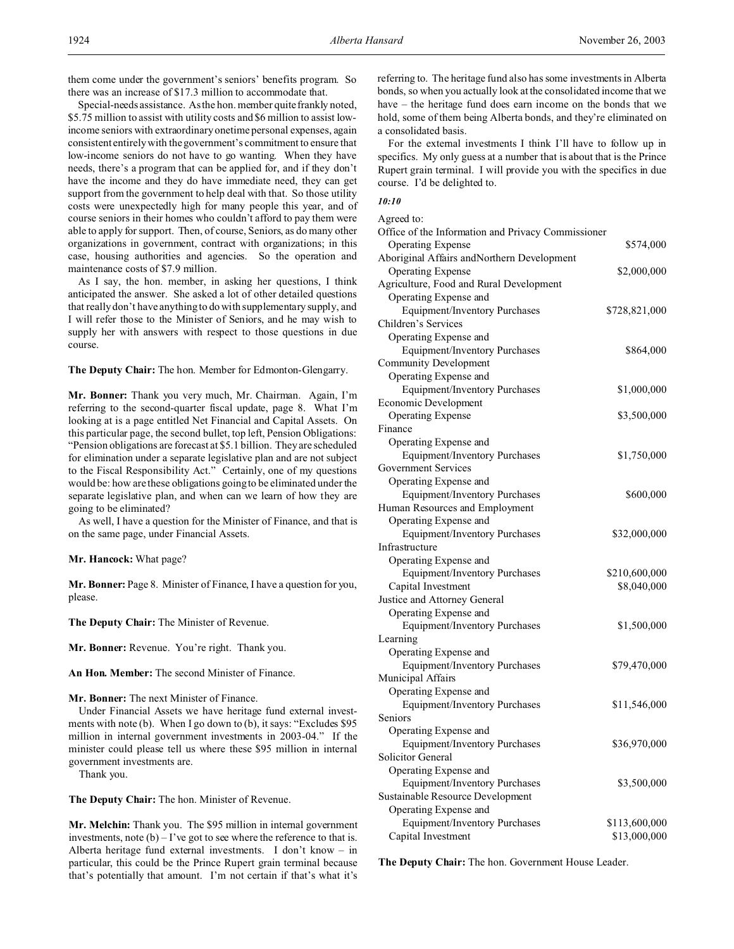them come under the government's seniors' benefits program. So there was an increase of \$17.3 million to accommodate that.

Special-needs assistance. As the hon. member quite frankly noted, \$5.75 million to assist with utility costs and \$6 million to assist lowincome seniors with extraordinary onetime personal expenses, again consistent entirely with the government's commitment to ensure that low-income seniors do not have to go wanting. When they have needs, there's a program that can be applied for, and if they don't have the income and they do have immediate need, they can get support from the government to help deal with that. So those utility costs were unexpectedly high for many people this year, and of course seniors in their homes who couldn't afford to pay them were able to apply for support. Then, of course, Seniors, as do many other organizations in government, contract with organizations; in this case, housing authorities and agencies. So the operation and maintenance costs of \$7.9 million.

As I say, the hon. member, in asking her questions, I think anticipated the answer. She asked a lot of other detailed questions that really don't have anything to do with supplementary supply, and I will refer those to the Minister of Seniors, and he may wish to supply her with answers with respect to those questions in due course.

**The Deputy Chair:** The hon. Member for Edmonton-Glengarry.

**Mr. Bonner:** Thank you very much, Mr. Chairman. Again, I'm referring to the second-quarter fiscal update, page 8. What I'm looking at is a page entitled Net Financial and Capital Assets. On this particular page, the second bullet, top left, Pension Obligations: "Pension obligations are forecast at \$5.1 billion. They are scheduled for elimination under a separate legislative plan and are not subject to the Fiscal Responsibility Act." Certainly, one of my questions would be: how are these obligations going to be eliminated under the separate legislative plan, and when can we learn of how they are going to be eliminated?

As well, I have a question for the Minister of Finance, and that is on the same page, under Financial Assets.

**Mr. Hancock:** What page?

**Mr. Bonner:** Page 8. Minister of Finance, I have a question for you, please.

**The Deputy Chair:** The Minister of Revenue.

**Mr. Bonner:** Revenue. You're right. Thank you.

**An Hon. Member:** The second Minister of Finance.

#### **Mr. Bonner:** The next Minister of Finance.

Under Financial Assets we have heritage fund external investments with note (b). When I go down to (b), it says: "Excludes \$95 million in internal government investments in 2003-04." If the minister could please tell us where these \$95 million in internal government investments are.

Thank you.

**The Deputy Chair:** The hon. Minister of Revenue.

**Mr. Melchin:** Thank you. The \$95 million in internal government investments, note  $(b) - I'$  ve got to see where the reference to that is. Alberta heritage fund external investments. I don't know – in particular, this could be the Prince Rupert grain terminal because that's potentially that amount. I'm not certain if that's what it's

referring to. The heritage fund also has some investments in Alberta bonds, so when you actually look at the consolidated income that we have – the heritage fund does earn income on the bonds that we hold, some of them being Alberta bonds, and they're eliminated on a consolidated basis.

For the external investments I think I'll have to follow up in specifics. My only guess at a number that is about that is the Prince Rupert grain terminal. I will provide you with the specifics in due course. I'd be delighted to.

# *10:10*

| Agreed to:                                         |               |
|----------------------------------------------------|---------------|
| Office of the Information and Privacy Commissioner |               |
| <b>Operating Expense</b>                           | \$574,000     |
| Aboriginal Affairs andNorthern Development         |               |
| <b>Operating Expense</b>                           | \$2,000,000   |
| Agriculture, Food and Rural Development            |               |
| Operating Expense and                              |               |
| <b>Equipment/Inventory Purchases</b>               | \$728,821,000 |
| Children's Services                                |               |
| Operating Expense and                              |               |
| Equipment/Inventory Purchases                      | \$864,000     |
| Community Development                              |               |
| Operating Expense and                              |               |
| Equipment/Inventory Purchases                      | \$1,000,000   |
| Economic Development                               |               |
| <b>Operating Expense</b>                           | \$3,500,000   |
| Finance                                            |               |
| Operating Expense and                              |               |
| Equipment/Inventory Purchases                      | \$1,750,000   |
| <b>Government Services</b>                         |               |
| Operating Expense and                              |               |
| Equipment/Inventory Purchases                      | \$600,000     |
|                                                    |               |
| Human Resources and Employment                     |               |
| Operating Expense and                              |               |
| Equipment/Inventory Purchases                      | \$32,000,000  |
| Infrastructure                                     |               |
| Operating Expense and                              |               |
| Equipment/Inventory Purchases                      | \$210,600,000 |
| Capital Investment                                 | \$8,040,000   |
| Justice and Attorney General                       |               |
| Operating Expense and                              |               |
| <b>Equipment/Inventory Purchases</b>               | \$1,500,000   |
| Learning                                           |               |
| Operating Expense and                              |               |
| Equipment/Inventory Purchases                      | \$79,470,000  |
| Municipal Affairs                                  |               |
| Operating Expense and                              |               |
| <b>Equipment/Inventory Purchases</b>               | \$11,546,000  |
| Seniors                                            |               |
| Operating Expense and                              |               |
| Equipment/Inventory Purchases                      | \$36,970,000  |
| Solicitor General                                  |               |
| Operating Expense and                              |               |
| Equipment/Inventory Purchases                      | \$3,500,000   |
| Sustainable Resource Development                   |               |
| Operating Expense and                              |               |
| <b>Equipment/Inventory Purchases</b>               | \$113,600,000 |
| Capital Investment                                 | \$13,000,000  |

**The Deputy Chair:** The hon. Government House Leader.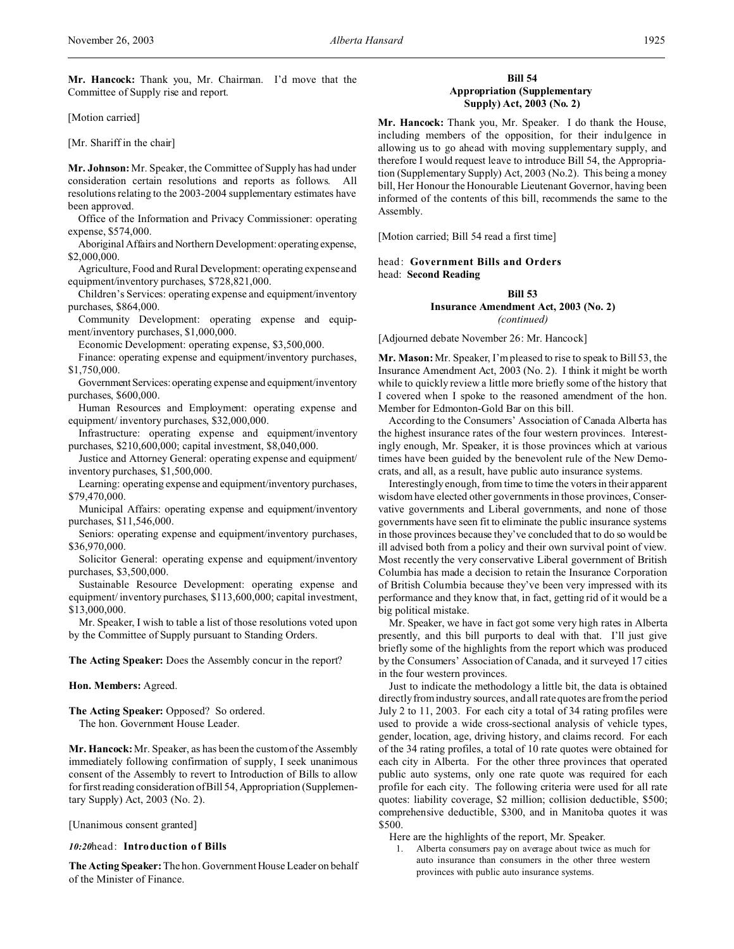**Mr. Hancock:** Thank you, Mr. Chairman. I'd move that the Committee of Supply rise and report.

[Motion carried]

[Mr. Shariff in the chair]

**Mr. Johnson:** Mr. Speaker, the Committee of Supply has had under consideration certain resolutions and reports as follows. All resolutions relating to the 2003-2004 supplementary estimates have been approved.

Office of the Information and Privacy Commissioner: operating expense, \$574,000.

Aboriginal Affairs and Northern Development: operating expense, \$2,000,000.

Agriculture, Food and Rural Development: operating expense and equipment/inventory purchases, \$728,821,000.

Children's Services: operating expense and equipment/inventory purchases, \$864,000.

Community Development: operating expense and equipment/inventory purchases, \$1,000,000.

Economic Development: operating expense, \$3,500,000.

Finance: operating expense and equipment/inventory purchases, \$1,750,000.

Government Services: operating expense and equipment/inventory purchases, \$600,000.

Human Resources and Employment: operating expense and equipment/ inventory purchases, \$32,000,000.

Infrastructure: operating expense and equipment/inventory purchases, \$210,600,000; capital investment, \$8,040,000.

Justice and Attorney General: operating expense and equipment/ inventory purchases, \$1,500,000.

Learning: operating expense and equipment/inventory purchases, \$79,470,000.

Municipal Affairs: operating expense and equipment/inventory purchases, \$11,546,000.

Seniors: operating expense and equipment/inventory purchases, \$36,970,000.

Solicitor General: operating expense and equipment/inventory purchases, \$3,500,000.

Sustainable Resource Development: operating expense and equipment/ inventory purchases, \$113,600,000; capital investment, \$13,000,000.

Mr. Speaker, I wish to table a list of those resolutions voted upon by the Committee of Supply pursuant to Standing Orders.

**The Acting Speaker:** Does the Assembly concur in the report?

# **Hon. Members:** Agreed.

**The Acting Speaker:** Opposed? So ordered. The hon. Government House Leader.

**Mr. Hancock:** Mr. Speaker, as has been the custom of the Assembly immediately following confirmation of supply, I seek unanimous consent of the Assembly to revert to Introduction of Bills to allow for first reading consideration of Bill 54, Appropriation (Supplementary Supply) Act, 2003 (No. 2).

[Unanimous consent granted]

#### *10:20*head: **Introduction of Bills**

**The Acting Speaker:** The hon. Government House Leader on behalf of the Minister of Finance.

# **Bill 54 Appropriation (Supplementary Supply) Act, 2003 (No. 2)**

**Mr. Hancock:** Thank you, Mr. Speaker. I do thank the House, including members of the opposition, for their indulgence in allowing us to go ahead with moving supplementary supply, and therefore I would request leave to introduce Bill 54, the Appropriation (Supplementary Supply) Act, 2003 (No.2). This being a money bill, Her Honour the Honourable Lieutenant Governor, having been informed of the contents of this bill, recommends the same to the Assembly.

[Motion carried; Bill 54 read a first time]

head: **Government Bills and Orders** head: **Second Reading**

# **Bill 53 Insurance Amendment Act, 2003 (No. 2)** *(continued)*

[Adjourned debate November 26: Mr. Hancock]

**Mr. Mason:** Mr. Speaker, I'm pleased to rise to speak to Bill 53, the Insurance Amendment Act, 2003 (No. 2). I think it might be worth while to quickly review a little more briefly some of the history that I covered when I spoke to the reasoned amendment of the hon. Member for Edmonton-Gold Bar on this bill.

According to the Consumers' Association of Canada Alberta has the highest insurance rates of the four western provinces. Interestingly enough, Mr. Speaker, it is those provinces which at various times have been guided by the benevolent rule of the New Democrats, and all, as a result, have public auto insurance systems.

Interestingly enough, from time to time the voters in their apparent wisdom have elected other governments in those provinces, Conservative governments and Liberal governments, and none of those governments have seen fit to eliminate the public insurance systems in those provinces because they've concluded that to do so would be ill advised both from a policy and their own survival point of view. Most recently the very conservative Liberal government of British Columbia has made a decision to retain the Insurance Corporation of British Columbia because they've been very impressed with its performance and they know that, in fact, getting rid of it would be a big political mistake.

Mr. Speaker, we have in fact got some very high rates in Alberta presently, and this bill purports to deal with that. I'll just give briefly some of the highlights from the report which was produced by the Consumers' Association of Canada, and it surveyed 17 cities in the four western provinces.

Just to indicate the methodology a little bit, the data is obtained directly from industry sources, and all rate quotes are from the period July 2 to 11, 2003. For each city a total of 34 rating profiles were used to provide a wide cross-sectional analysis of vehicle types, gender, location, age, driving history, and claims record. For each of the 34 rating profiles, a total of 10 rate quotes were obtained for each city in Alberta. For the other three provinces that operated public auto systems, only one rate quote was required for each profile for each city. The following criteria were used for all rate quotes: liability coverage, \$2 million; collision deductible, \$500; comprehensive deductible, \$300, and in Manitoba quotes it was \$500.

Here are the highlights of the report, Mr. Speaker.

1. Alberta consumers pay on average about twice as much for auto insurance than consumers in the other three western provinces with public auto insurance systems.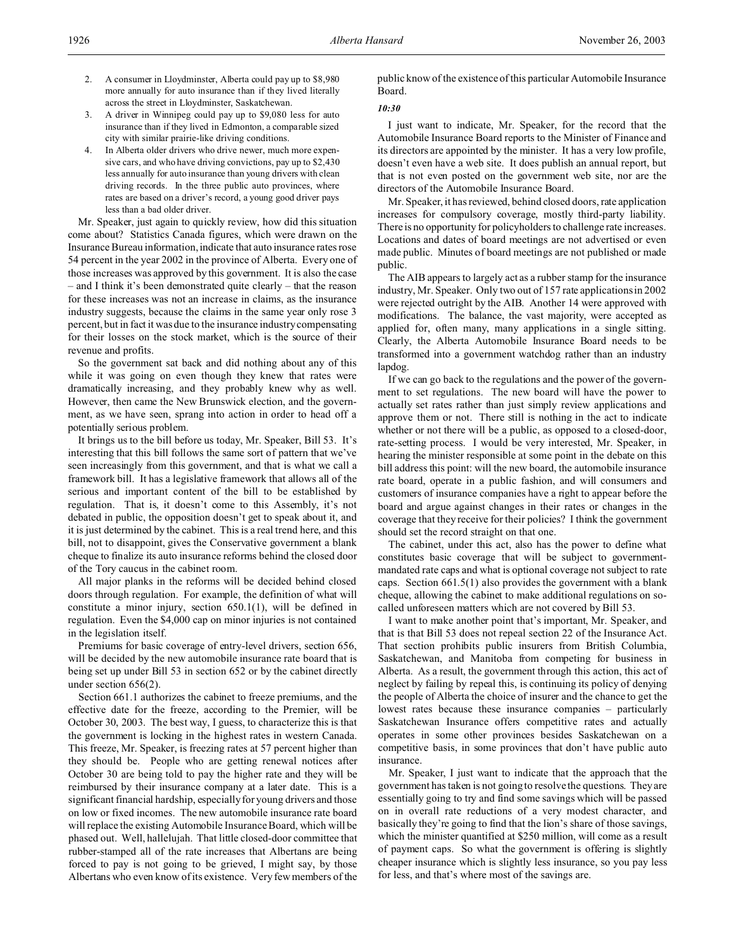- 2. A consumer in Lloydminster, Alberta could pay up to \$8,980 more annually for auto insurance than if they lived literally across the street in Lloydminster, Saskatchewan.
- 3. A driver in Winnipeg could pay up to \$9,080 less for auto insurance than if they lived in Edmonton, a comparable sized city with similar prairie-like driving conditions.
- 4. In Alberta older drivers who drive newer, much more expensive cars, and who have driving convictions, pay up to \$2,430 less annually for auto insurance than young drivers with clean driving records. In the three public auto provinces, where rates are based on a driver's record, a young good driver pays less than a bad older driver.

Mr. Speaker, just again to quickly review, how did this situation come about? Statistics Canada figures, which were drawn on the Insurance Bureau information, indicate that auto insurance rates rose 54 percent in the year 2002 in the province of Alberta. Every one of those increases was approved by this government. It is also the case – and I think it's been demonstrated quite clearly – that the reason for these increases was not an increase in claims, as the insurance industry suggests, because the claims in the same year only rose 3 percent, but in fact it was due to the insurance industry compensating for their losses on the stock market, which is the source of their revenue and profits.

So the government sat back and did nothing about any of this while it was going on even though they knew that rates were dramatically increasing, and they probably knew why as well. However, then came the New Brunswick election, and the government, as we have seen, sprang into action in order to head off a potentially serious problem.

It brings us to the bill before us today, Mr. Speaker, Bill 53. It's interesting that this bill follows the same sort of pattern that we've seen increasingly from this government, and that is what we call a framework bill. It has a legislative framework that allows all of the serious and important content of the bill to be established by regulation. That is, it doesn't come to this Assembly, it's not debated in public, the opposition doesn't get to speak about it, and it is just determined by the cabinet. This is a real trend here, and this bill, not to disappoint, gives the Conservative government a blank cheque to finalize its auto insurance reforms behind the closed door of the Tory caucus in the cabinet room.

All major planks in the reforms will be decided behind closed doors through regulation. For example, the definition of what will constitute a minor injury, section 650.1(1), will be defined in regulation. Even the \$4,000 cap on minor injuries is not contained in the legislation itself.

Premiums for basic coverage of entry-level drivers, section 656, will be decided by the new automobile insurance rate board that is being set up under Bill 53 in section 652 or by the cabinet directly under section 656(2).

Section 661.1 authorizes the cabinet to freeze premiums, and the effective date for the freeze, according to the Premier, will be October 30, 2003. The best way, I guess, to characterize this is that the government is locking in the highest rates in western Canada. This freeze, Mr. Speaker, is freezing rates at 57 percent higher than they should be. People who are getting renewal notices after October 30 are being told to pay the higher rate and they will be reimbursed by their insurance company at a later date. This is a significant financial hardship, especially for young drivers and those on low or fixed incomes. The new automobile insurance rate board will replace the existing Automobile Insurance Board, which will be phased out. Well, hallelujah. That little closed-door committee that rubber-stamped all of the rate increases that Albertans are being forced to pay is not going to be grieved, I might say, by those Albertans who even know of its existence. Very few members of the

public know of the existence of this particular Automobile Insurance Board.

# *10:30*

I just want to indicate, Mr. Speaker, for the record that the Automobile Insurance Board reports to the Minister of Finance and its directors are appointed by the minister. It has a very low profile, doesn't even have a web site. It does publish an annual report, but that is not even posted on the government web site, nor are the directors of the Automobile Insurance Board.

Mr. Speaker, it has reviewed, behind closed doors, rate application increases for compulsory coverage, mostly third-party liability. There is no opportunity for policyholders to challenge rate increases. Locations and dates of board meetings are not advertised or even made public. Minutes of board meetings are not published or made public.

The AIB appears to largely act as a rubber stamp for the insurance industry, Mr. Speaker. Only two out of 157 rate applications in 2002 were rejected outright by the AIB. Another 14 were approved with modifications. The balance, the vast majority, were accepted as applied for, often many, many applications in a single sitting. Clearly, the Alberta Automobile Insurance Board needs to be transformed into a government watchdog rather than an industry lapdog.

If we can go back to the regulations and the power of the government to set regulations. The new board will have the power to actually set rates rather than just simply review applications and approve them or not. There still is nothing in the act to indicate whether or not there will be a public, as opposed to a closed-door, rate-setting process. I would be very interested, Mr. Speaker, in hearing the minister responsible at some point in the debate on this bill address this point: will the new board, the automobile insurance rate board, operate in a public fashion, and will consumers and customers of insurance companies have a right to appear before the board and argue against changes in their rates or changes in the coverage that they receive for their policies? I think the government should set the record straight on that one.

The cabinet, under this act, also has the power to define what constitutes basic coverage that will be subject to governmentmandated rate caps and what is optional coverage not subject to rate caps. Section 661.5(1) also provides the government with a blank cheque, allowing the cabinet to make additional regulations on socalled unforeseen matters which are not covered by Bill 53.

I want to make another point that's important, Mr. Speaker, and that is that Bill 53 does not repeal section 22 of the Insurance Act. That section prohibits public insurers from British Columbia, Saskatchewan, and Manitoba from competing for business in Alberta. As a result, the government through this action, this act of neglect by failing by repeal this, is continuing its policy of denying the people of Alberta the choice of insurer and the chance to get the lowest rates because these insurance companies – particularly Saskatchewan Insurance offers competitive rates and actually operates in some other provinces besides Saskatchewan on a competitive basis, in some provinces that don't have public auto insurance.

Mr. Speaker, I just want to indicate that the approach that the government has taken is not going to resolve the questions. They are essentially going to try and find some savings which will be passed on in overall rate reductions of a very modest character, and basically they're going to find that the lion's share of those savings, which the minister quantified at \$250 million, will come as a result of payment caps. So what the government is offering is slightly cheaper insurance which is slightly less insurance, so you pay less for less, and that's where most of the savings are.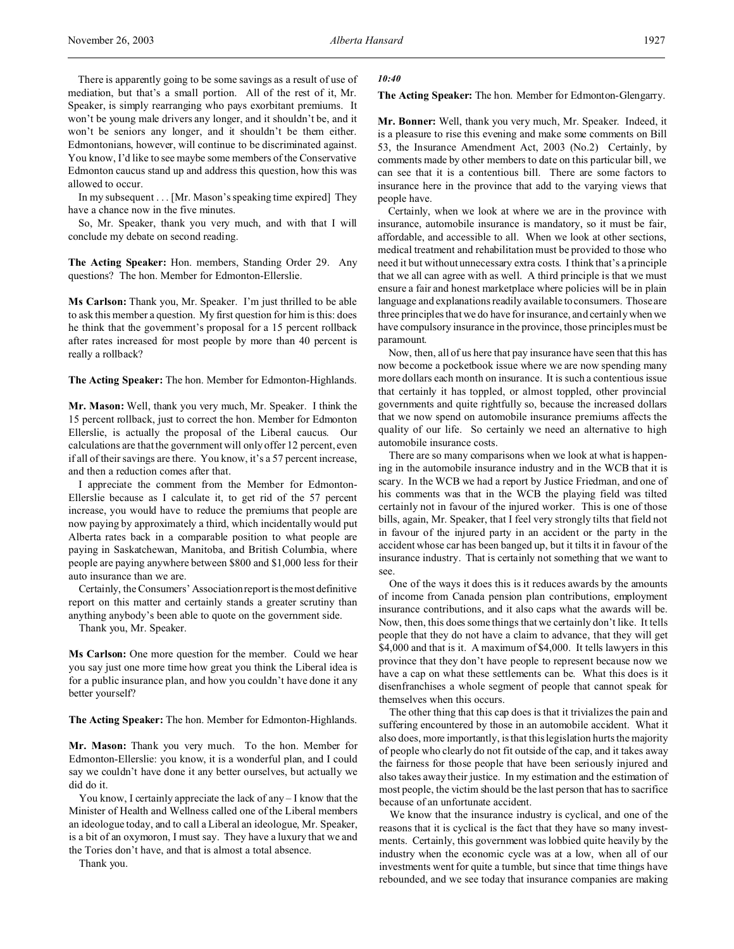There is apparently going to be some savings as a result of use of mediation, but that's a small portion. All of the rest of it, Mr. Speaker, is simply rearranging who pays exorbitant premiums. It won't be young male drivers any longer, and it shouldn't be, and it won't be seniors any longer, and it shouldn't be them either. Edmontonians, however, will continue to be discriminated against. You know, I'd like to see maybe some members of the Conservative Edmonton caucus stand up and address this question, how this was allowed to occur.

In my subsequent . . . [Mr. Mason's speaking time expired] They have a chance now in the five minutes.

So, Mr. Speaker, thank you very much, and with that I will conclude my debate on second reading.

**The Acting Speaker:** Hon. members, Standing Order 29. Any questions? The hon. Member for Edmonton-Ellerslie.

**Ms Carlson:** Thank you, Mr. Speaker. I'm just thrilled to be able to ask this member a question. My first question for him is this: does he think that the government's proposal for a 15 percent rollback after rates increased for most people by more than 40 percent is really a rollback?

**The Acting Speaker:** The hon. Member for Edmonton-Highlands.

**Mr. Mason:** Well, thank you very much, Mr. Speaker. I think the 15 percent rollback, just to correct the hon. Member for Edmonton Ellerslie, is actually the proposal of the Liberal caucus. Our calculations are that the government will only offer 12 percent, even if all of their savings are there. You know, it's a 57 percent increase, and then a reduction comes after that.

I appreciate the comment from the Member for Edmonton-Ellerslie because as I calculate it, to get rid of the 57 percent increase, you would have to reduce the premiums that people are now paying by approximately a third, which incidentally would put Alberta rates back in a comparable position to what people are paying in Saskatchewan, Manitoba, and British Columbia, where people are paying anywhere between \$800 and \$1,000 less for their auto insurance than we are.

Certainly, the Consumers' Association report is the most definitive report on this matter and certainly stands a greater scrutiny than anything anybody's been able to quote on the government side.

Thank you, Mr. Speaker.

**Ms Carlson:** One more question for the member. Could we hear you say just one more time how great you think the Liberal idea is for a public insurance plan, and how you couldn't have done it any better yourself?

**The Acting Speaker:** The hon. Member for Edmonton-Highlands.

**Mr. Mason:** Thank you very much. To the hon. Member for Edmonton-Ellerslie: you know, it is a wonderful plan, and I could say we couldn't have done it any better ourselves, but actually we did do it.

You know, I certainly appreciate the lack of any – I know that the Minister of Health and Wellness called one of the Liberal members an ideologue today, and to call a Liberal an ideologue, Mr. Speaker, is a bit of an oxymoron, I must say. They have a luxury that we and the Tories don't have, and that is almost a total absence.

Thank you.

#### *10:40*

# **The Acting Speaker:** The hon. Member for Edmonton-Glengarry.

**Mr. Bonner:** Well, thank you very much, Mr. Speaker. Indeed, it is a pleasure to rise this evening and make some comments on Bill 53, the Insurance Amendment Act, 2003 (No.2) Certainly, by comments made by other members to date on this particular bill, we can see that it is a contentious bill. There are some factors to insurance here in the province that add to the varying views that people have.

Certainly, when we look at where we are in the province with insurance, automobile insurance is mandatory, so it must be fair, affordable, and accessible to all. When we look at other sections, medical treatment and rehabilitation must be provided to those who need it but without unnecessary extra costs. I think that's a principle that we all can agree with as well. A third principle is that we must ensure a fair and honest marketplace where policies will be in plain language and explanations readily available to consumers. Those are three principles that we do have for insurance, and certainly when we have compulsory insurance in the province, those principles must be paramount.

Now, then, all of us here that pay insurance have seen that this has now become a pocketbook issue where we are now spending many more dollars each month on insurance. It is such a contentious issue that certainly it has toppled, or almost toppled, other provincial governments and quite rightfully so, because the increased dollars that we now spend on automobile insurance premiums affects the quality of our life. So certainly we need an alternative to high automobile insurance costs.

There are so many comparisons when we look at what is happening in the automobile insurance industry and in the WCB that it is scary. In the WCB we had a report by Justice Friedman, and one of his comments was that in the WCB the playing field was tilted certainly not in favour of the injured worker. This is one of those bills, again, Mr. Speaker, that I feel very strongly tilts that field not in favour of the injured party in an accident or the party in the accident whose car has been banged up, but it tilts it in favour of the insurance industry. That is certainly not something that we want to see.

One of the ways it does this is it reduces awards by the amounts of income from Canada pension plan contributions, employment insurance contributions, and it also caps what the awards will be. Now, then, this does some things that we certainly don't like. It tells people that they do not have a claim to advance, that they will get \$4,000 and that is it. A maximum of \$4,000. It tells lawyers in this province that they don't have people to represent because now we have a cap on what these settlements can be. What this does is it disenfranchises a whole segment of people that cannot speak for themselves when this occurs.

The other thing that this cap does is that it trivializes the pain and suffering encountered by those in an automobile accident. What it also does, more importantly, is that this legislation hurts the majority of people who clearly do not fit outside of the cap, and it takes away the fairness for those people that have been seriously injured and also takes away their justice. In my estimation and the estimation of most people, the victim should be the last person that has to sacrifice because of an unfortunate accident.

We know that the insurance industry is cyclical, and one of the reasons that it is cyclical is the fact that they have so many investments. Certainly, this government was lobbied quite heavily by the industry when the economic cycle was at a low, when all of our investments went for quite a tumble, but since that time things have rebounded, and we see today that insurance companies are making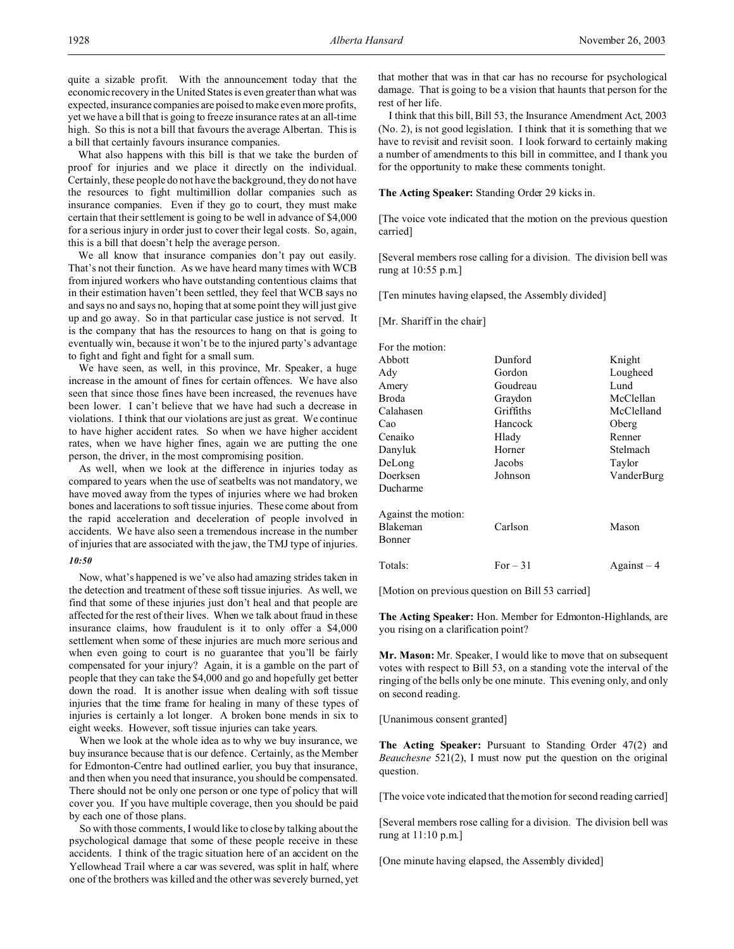quite a sizable profit. With the announcement today that the economic recovery in the United States is even greater than what was expected, insurance companies are poised to make even more profits, yet we have a bill that is going to freeze insurance rates at an all-time high. So this is not a bill that favours the average Albertan. This is a bill that certainly favours insurance companies.

What also happens with this bill is that we take the burden of proof for injuries and we place it directly on the individual. Certainly, these people do not have the background, they do not have the resources to fight multimillion dollar companies such as insurance companies. Even if they go to court, they must make certain that their settlement is going to be well in advance of \$4,000 for a serious injury in order just to cover their legal costs. So, again, this is a bill that doesn't help the average person.

We all know that insurance companies don't pay out easily. That's not their function. As we have heard many times with WCB from injured workers who have outstanding contentious claims that in their estimation haven't been settled, they feel that WCB says no and says no and says no, hoping that at some point they will just give up and go away. So in that particular case justice is not served. It is the company that has the resources to hang on that is going to eventually win, because it won't be to the injured party's advantage to fight and fight and fight for a small sum.

We have seen, as well, in this province, Mr. Speaker, a huge increase in the amount of fines for certain offences. We have also seen that since those fines have been increased, the revenues have been lower. I can't believe that we have had such a decrease in violations. I think that our violations are just as great. We continue to have higher accident rates. So when we have higher accident rates, when we have higher fines, again we are putting the one person, the driver, in the most compromising position.

As well, when we look at the difference in injuries today as compared to years when the use of seatbelts was not mandatory, we have moved away from the types of injuries where we had broken bones and lacerations to soft tissue injuries. These come about from the rapid acceleration and deceleration of people involved in accidents. We have also seen a tremendous increase in the number of injuries that are associated with the jaw, the TMJ type of injuries.

### *10:50*

Now, what's happened is we've also had amazing strides taken in the detection and treatment of these soft tissue injuries. As well, we find that some of these injuries just don't heal and that people are affected for the rest of their lives. When we talk about fraud in these insurance claims, how fraudulent is it to only offer a \$4,000 settlement when some of these injuries are much more serious and when even going to court is no guarantee that you'll be fairly compensated for your injury? Again, it is a gamble on the part of people that they can take the \$4,000 and go and hopefully get better down the road. It is another issue when dealing with soft tissue injuries that the time frame for healing in many of these types of injuries is certainly a lot longer. A broken bone mends in six to eight weeks. However, soft tissue injuries can take years.

When we look at the whole idea as to why we buy insurance, we buy insurance because that is our defence. Certainly, as the Member for Edmonton-Centre had outlined earlier, you buy that insurance, and then when you need that insurance, you should be compensated. There should not be only one person or one type of policy that will cover you. If you have multiple coverage, then you should be paid by each one of those plans.

So with those comments, I would like to close by talking about the psychological damage that some of these people receive in these accidents. I think of the tragic situation here of an accident on the Yellowhead Trail where a car was severed, was split in half, where one of the brothers was killed and the other was severely burned, yet

that mother that was in that car has no recourse for psychological damage. That is going to be a vision that haunts that person for the rest of her life.

I think that this bill, Bill 53, the Insurance Amendment Act, 2003 (No. 2), is not good legislation. I think that it is something that we have to revisit and revisit soon. I look forward to certainly making a number of amendments to this bill in committee, and I thank you for the opportunity to make these comments tonight.

**The Acting Speaker:** Standing Order 29 kicks in.

[The voice vote indicated that the motion on the previous question carried]

[Several members rose calling for a division. The division bell was rung at 10:55 p.m.]

[Ten minutes having elapsed, the Assembly divided]

[Mr. Shariff in the chair]

| For the motion:     |           |             |
|---------------------|-----------|-------------|
| Abbott              | Dunford   | Knight      |
| Ady                 | Gordon    | Lougheed    |
| Amery               | Goudreau  | Lund        |
| Broda               | Graydon   | McClellan   |
| Calahasen           | Griffiths | McClelland  |
| Cao                 | Hancock   | Oberg       |
| Cenaiko             | Hlady     | Renner      |
| Danyluk             | Horner    | Stelmach    |
| DeLong              | Jacobs    | Taylor      |
| Doerksen            | Johnson   | VanderBurg  |
| Ducharme            |           |             |
| Against the motion: |           |             |
| Blakeman            | Carlson   | Mason       |
| Bonner              |           |             |
| Totals:             | $For-31$  | $Against-4$ |

[Motion on previous question on Bill 53 carried]

**The Acting Speaker:** Hon. Member for Edmonton-Highlands, are you rising on a clarification point?

**Mr. Mason:** Mr. Speaker, I would like to move that on subsequent votes with respect to Bill 53, on a standing vote the interval of the ringing of the bells only be one minute. This evening only, and only on second reading.

[Unanimous consent granted]

**The Acting Speaker:** Pursuant to Standing Order 47(2) and *Beauchesne* 521(2), I must now put the question on the original question.

[The voice vote indicated that the motion for second reading carried]

[Several members rose calling for a division. The division bell was rung at 11:10 p.m.]

[One minute having elapsed, the Assembly divided]